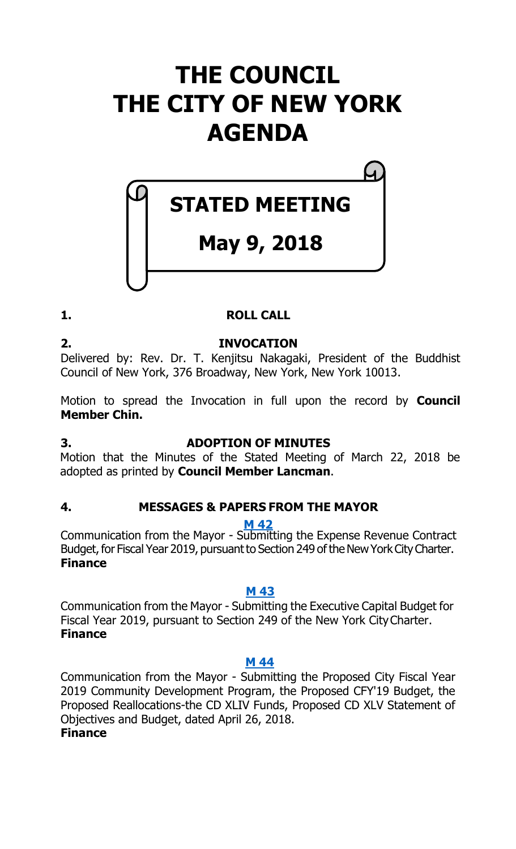# **THE COUNCIL THE CITY OF NEW YORK AGENDA**

# **STATED MEETING**

# **May 9, 2018**

### **1. ROLL CALL**

**2. INVOCATION** Delivered by: Rev. Dr. T. Kenjitsu Nakagaki, President of the Buddhist Council of New York, 376 Broadway, New York, New York 10013.

Motion to spread the Invocation in full upon the record by **Council Member Chin.**

#### **3. ADOPTION OF MINUTES**

Motion that the Minutes of the Stated Meeting of March 22, 2018 be adopted as printed by **Council Member Lancman**.

#### **4. MESSAGES & PAPERS FROM THE MAYOR**

**M [42](http://legistar.council.nyc.gov/LegislationDetail.aspx?ID=3498529&GUID=3C2E46DB-55BB-428F-AC4A-82F101012954&Options=&Search=)**

Communication from the Mayor - Submitting the Expense Revenue Contract Budget, for Fiscal Year 2019, pursuant to Section 249 of the New York City Charter. **Finance**

#### **M [43](http://legistar.council.nyc.gov/LegislationDetail.aspx?ID=3498530&GUID=7F573EA5-835A-4C7D-9785-3DA6A61FCA73&Options=&Search=)**

Communication from the Mayor - Submitting the Executive Capital Budget for Fiscal Year 2019, pursuant to Section 249 of the New York CityCharter. **Finance**

#### **M [44](http://legistar.council.nyc.gov/LegislationDetail.aspx?ID=3498531&GUID=24864818-4D19-49B8-A0DB-05AE01548CDF&Options=&Search=)**

Communication from the Mayor - Submitting the Proposed City Fiscal Year 2019 Community Development Program, the Proposed CFY'19 Budget, the Proposed Reallocations-the CD XLIV Funds, Proposed CD XLV Statement of Objectives and Budget, dated April 26, 2018.

#### **Finance**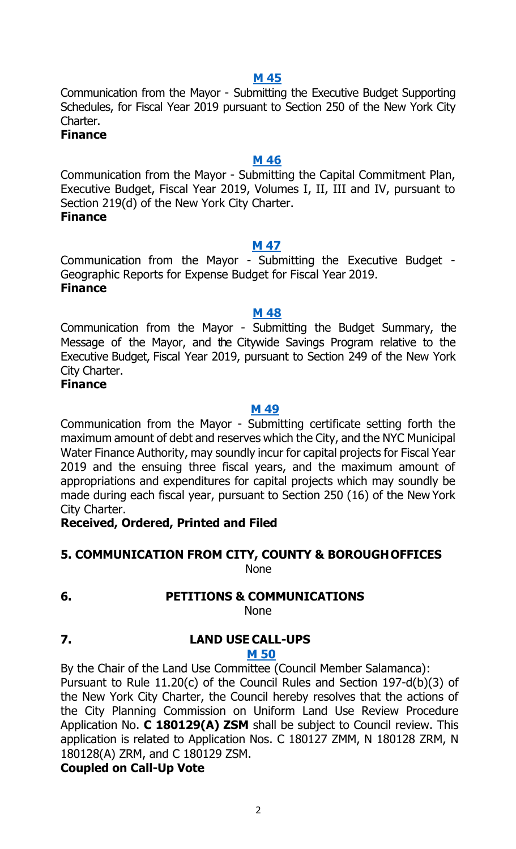**M [45](http://legistar.council.nyc.gov/LegislationDetail.aspx?ID=3498532&GUID=DC0F18D6-E9BF-4359-82AA-B9E0583108DC&Options=&Search=)**

Communication from the Mayor - Submitting the Executive Budget Supporting Schedules, for Fiscal Year 2019 pursuant to Section 250 of the New York City Charter.

**Finance**

#### **M [46](http://legistar.council.nyc.gov/LegislationDetail.aspx?ID=3498533&GUID=83738BB8-87B2-4ED0-A030-7B0A66B84CD1&Options=&Search=)**

Communication from the Mayor - Submitting the Capital Commitment Plan, Executive Budget, Fiscal Year 2019, Volumes I, II, III and IV, pursuant to Section 219(d) of the New York City Charter. **Finance**

#### **M [47](http://legistar.council.nyc.gov/LegislationDetail.aspx?ID=3498534&GUID=262AECA1-280B-4E3E-89A8-BE636C8A1DFD&Options=&Search=)**

Communication from the Mayor - Submitting the Executive Budget - Geographic Reports for Expense Budget for Fiscal Year 2019. **Finance**

#### **M [48](http://legistar.council.nyc.gov/LegislationDetail.aspx?ID=3498535&GUID=60EBD834-20FA-4145-BA6F-F0E0A2AE1A66&Options=&Search=)**

Communication from the Mayor - Submitting the Budget Summary, the Message of the Mayor, and the Citywide Savings Program relative to the Executive Budget, Fiscal Year 2019, pursuant to Section 249 of the New York City Charter.

#### **Finance**

#### **M [49](http://legistar.council.nyc.gov/LegislationDetail.aspx?ID=3498536&GUID=38163043-7915-4C18-AE6E-C25881434B73&Options=&Search=)**

Communication from the Mayor - Submitting certificate setting forth the maximum amount of debt and reserves which the City, and the NYC Municipal Water Finance Authority, may soundly incur for capital projects for Fiscal Year 2019 and the ensuing three fiscal years, and the maximum amount of appropriations and expenditures for capital projects which may soundly be made during each fiscal year, pursuant to Section 250 (16) of the New York City Charter.

#### **Received, Ordered, Printed and Filed**

#### **5. COMMUNICATION FROM CITY, COUNTY & BOROUGHOFFICES** None

#### **6. PETITIONS & COMMUNICATIONS**

None

# **7. LAND USE CALL-UPS**

#### **M [50](http://legistar.council.nyc.gov/LegislationDetail.aspx?ID=3498554&GUID=40C6C324-3586-4B73-A41F-9FC09208BB51&Options=&Search=)**

By the Chair of the Land Use Committee (Council Member Salamanca): Pursuant to Rule 11.20(c) of the Council Rules and Section 197-d(b)(3) of the New York City Charter, the Council hereby resolves that the actions of the City Planning Commission on Uniform Land Use Review Procedure Application No. **C 180129(A) ZSM** shall be subject to Council review. This application is related to Application Nos. C 180127 ZMM, N 180128 ZRM, N 180128(A) ZRM, and C 180129 ZSM.

**Coupled on Call-Up Vote**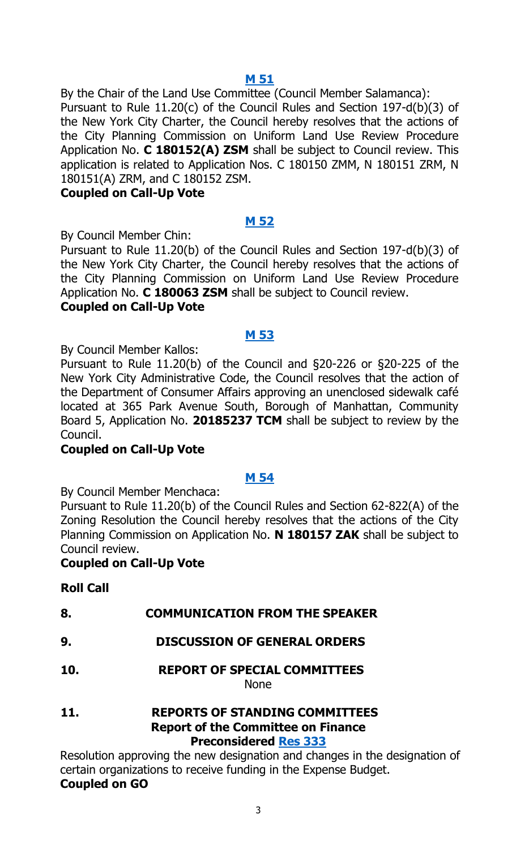**M [51](http://legistar.council.nyc.gov/LegislationDetail.aspx?ID=3498555&GUID=B19284E7-7B3E-40E8-8E4A-7F362E58FFA0&Options=&Search=)**

By the Chair of the Land Use Committee (Council Member Salamanca):

Pursuant to Rule 11.20(c) of the Council Rules and Section 197-d(b)(3) of the New York City Charter, the Council hereby resolves that the actions of the City Planning Commission on Uniform Land Use Review Procedure Application No. **C 180152(A) ZSM** shall be subject to Council review. This application is related to Application Nos. C 180150 ZMM, N 180151 ZRM, N 180151(A) ZRM, and C 180152 ZSM.

#### **Coupled on Call-Up Vote**

#### **M [52](http://legistar.council.nyc.gov/LegislationDetail.aspx?ID=3498541&GUID=E376618F-C38E-4704-8CD7-A68C87C81D43&Options=&Search=)**

By Council Member Chin:

Pursuant to Rule 11.20(b) of the Council Rules and Section 197-d(b)(3) of the New York City Charter, the Council hereby resolves that the actions of the City Planning Commission on Uniform Land Use Review Procedure Application No. **C 180063 ZSM** shall be subject to Council review. **Coupled on Call-Up Vote**

#### **M [53](http://legistar.council.nyc.gov/LegislationDetail.aspx?ID=3498542&GUID=57B5D4E1-1366-45FC-98D3-3C629F6CA215&Options=&Search=)**

By Council Member Kallos:

Pursuant to Rule 11.20(b) of the Council and §20-226 or §20-225 of the New York City Administrative Code, the Council resolves that the action of the Department of Consumer Affairs approving an unenclosed sidewalk café located at 365 Park Avenue South, Borough of Manhattan, Community Board 5, Application No. **20185237 TCM** shall be subject to review by the Council.

#### **Coupled on Call-Up Vote**

#### **M [54](http://legistar.council.nyc.gov/LegislationDetail.aspx?ID=3498553&GUID=3339D7F6-DFF1-45FC-9265-E2E4CE8CF12E&Options=&Search=)**

By Council Member Menchaca:

Pursuant to Rule 11.20(b) of the Council Rules and Section 62-822(A) of the Zoning Resolution the Council hereby resolves that the actions of the City Planning Commission on Application No. **N 180157 ZAK** shall be subject to Council review.

#### **Coupled on Call-Up Vote**

#### **Roll Call**

| 8.  | <b>COMMUNICATION FROM THE SPEAKER</b>                                                                              |
|-----|--------------------------------------------------------------------------------------------------------------------|
| 9.  | <b>DISCUSSION OF GENERAL ORDERS</b>                                                                                |
| 10. | <b>REPORT OF SPECIAL COMMITTEES</b><br><b>None</b>                                                                 |
| 11. | <b>REPORTS OF STANDING COMMITTEES</b><br><b>Report of the Committee on Finance</b><br><b>Preconsidered Res 333</b> |

Resolution approving the new designation and changes in the designation of certain organizations to receive funding in the Expense Budget. **Coupled on GO**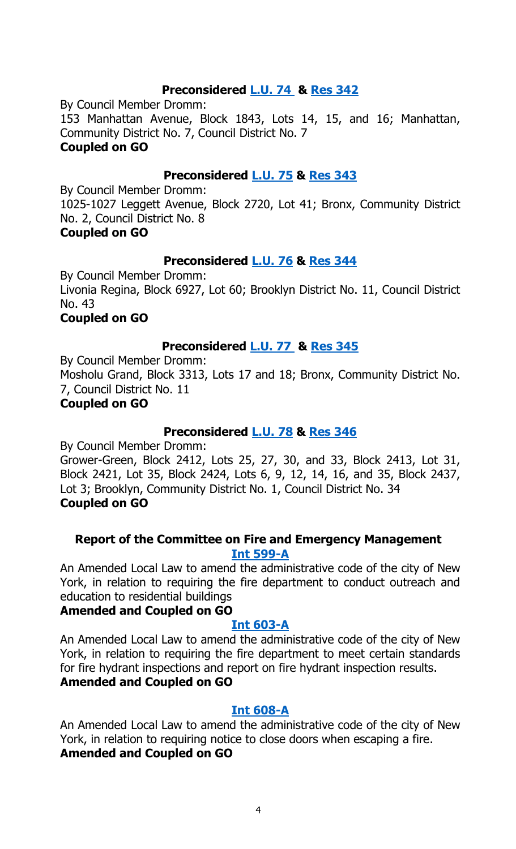#### **Preconsidered [L.U.](http://legistar.council.nyc.gov/LegislationDetail.aspx?ID=3487227&GUID=B56D5800-06FA-4C53-A84B-F8B872D8CC36&Options=&Search=) 74 & [Res](http://legistar.council.nyc.gov/LegislationDetail.aspx?ID=3498583&GUID=44607888-4FA6-4396-AA38-E84C99EB9D12&Options=&Search=) 342**

By Council Member Dromm: 153 Manhattan Avenue, Block 1843, Lots 14, 15, and 16; Manhattan, Community District No. 7, Council District No. 7 **Coupled on GO**

#### **Preconsidered [L.U.](http://legistar.council.nyc.gov/LegislationDetail.aspx?ID=3487228&GUID=CC1B564B-EA1E-4625-AD3C-A3BA820D0A83&Options=&Search=) 75 & [Res](http://legistar.council.nyc.gov/LegislationDetail.aspx?ID=3498584&GUID=23FEE39E-1FAB-4E71-B990-906A172A4EBB&Options=&Search=) 343**

By Council Member Dromm: 1025-1027 Leggett Avenue, Block 2720, Lot 41; Bronx, Community District No. 2, Council District No. 8 **Coupled on GO**

#### **Preconsidered [L.U.](http://legistar.council.nyc.gov/LegislationDetail.aspx?ID=3487236&GUID=8503B32F-1F35-4302-8A47-8888140956AA&Options=&Search=) 76 & [Res](http://legistar.council.nyc.gov/LegislationDetail.aspx?ID=3498585&GUID=8E7BDBEF-0D78-49D5-B1AE-C878F311F4B7&Options=&Search=) 344**

By Council Member Dromm: Livonia Regina, Block 6927, Lot 60; Brooklyn District No. 11, Council District No. 43 **Coupled on GO**

#### **Preconsidered [L.U.](http://legistar.council.nyc.gov/LegislationDetail.aspx?ID=3487237&GUID=AE767632-7807-4CD4-8D29-0786EFFCFDCE&Options=&Search=) 77 & [Res](http://legistar.council.nyc.gov/LegislationDetail.aspx?ID=3498586&GUID=3610FCC9-04C8-4FB6-AEE8-81D355DAB279&Options=&Search=) 345**

By Council Member Dromm:

Mosholu Grand, Block 3313, Lots 17 and 18; Bronx, Community District No. 7, Council District No. 11

#### **Coupled on GO**

#### **Preconsidered [L.U.](http://legistar.council.nyc.gov/LegislationDetail.aspx?ID=3487241&GUID=BA06B577-03DB-4665-A252-6734D543258D&Options=&Search=) 78 & [Res](http://legistar.council.nyc.gov/LegislationDetail.aspx?ID=3498587&GUID=61DECB73-372C-4A01-BFAA-FF4AA53C008E&Options=&Search=) 346**

By Council Member Dromm:

Grower-Green, Block 2412, Lots 25, 27, 30, and 33, Block 2413, Lot 31, Block 2421, Lot 35, Block 2424, Lots 6, 9, 12, 14, 16, and 35, Block 2437, Lot 3; Brooklyn, Community District No. 1, Council District No. 34 **Coupled on GO**

#### **Report of the Committee on Fire and Emergency Management [Int 599-A](http://legistar.council.nyc.gov/LegislationDetail.aspx?ID=3344783&GUID=BD1E5F9D-0895-4F36-9FB7-F70E366378E5&Options=&Search=)**

An Amended Local Law to amend the administrative code of the city of New York, in relation to requiring the fire department to conduct outreach and education to residential buildings

#### **Amended and Coupled on GO**

#### **[Int 603-A](http://legistar.council.nyc.gov/LegislationDetail.aspx?ID=3342618&GUID=06AEBD95-3894-48A8-8459-1BA51EA92FEE&Options=&Search=)**

An Amended Local Law to amend the administrative code of the city of New York, in relation to requiring the fire department to meet certain standards for fire hydrant inspections and report on fire hydrant inspection results. **Amended and Coupled on GO**

#### **[Int 608-A](http://legistar.council.nyc.gov/LegislationDetail.aspx?ID=3342612&GUID=E108470E-A840-4314-A7EF-FBE65A45B2AE&Options=&Search=)**

An Amended Local Law to amend the administrative code of the city of New York, in relation to requiring notice to close doors when escaping a fire. **Amended and Coupled on GO**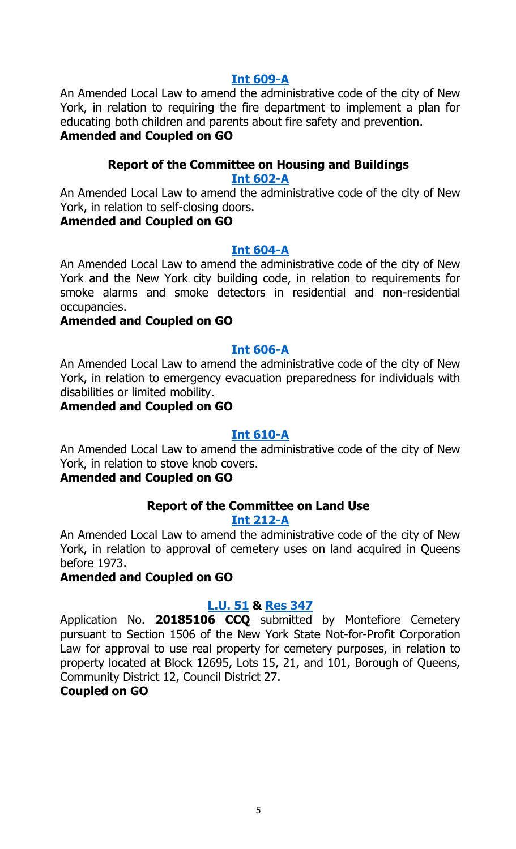#### **[Int 609-A](http://legistar.council.nyc.gov/LegislationDetail.aspx?ID=3342616&GUID=07858C64-EB4E-4910-9B9C-64B521E02CCC&Options=&Search=)**

An Amended Local Law to amend the administrative code of the city of New York, in relation to requiring the fire department to implement a plan for educating both children and parents about fire safety and prevention. **Amended and Coupled on GO**

#### **Report of the Committee on Housing and Buildings**

#### **[Int 602-A](http://legistar.council.nyc.gov/LegislationDetail.aspx?ID=3342614&GUID=5DA866E9-82B4-4182-ABD1-54911FF003B9&Options=&Search=)**

An Amended Local Law to amend the administrative code of the city of New York, in relation to self-closing doors.

#### **Amended and Coupled on GO**

#### **[Int 604-A](http://legistar.council.nyc.gov/LegislationDetail.aspx?ID=3342613&GUID=E4BCA6DB-1E24-4B2F-A39C-DA1C6423C664&Options=&Search=)**

An Amended Local Law to amend the administrative code of the city of New York and the New York city building code, in relation to requirements for smoke alarms and smoke detectors in residential and non-residential occupancies.

#### **Amended and Coupled on GO**

#### **[Int 606-A](http://legistar.council.nyc.gov/LegislationDetail.aspx?ID=3342617&GUID=C4E7AA5D-2F97-4C1D-A2F6-7462C83D2F61&Options=&Search=)**

An Amended Local Law to amend the administrative code of the city of New York, in relation to emergency evacuation preparedness for individuals with disabilities or limited mobility.

#### **Amended and Coupled on GO**

#### **[Int 610-A](http://legistar.council.nyc.gov/LegislationDetail.aspx?ID=3342615&GUID=F2E2783F-7B55-4FCC-A3A9-C6792E05C755&Options=&Search=)**

An Amended Local Law to amend the administrative code of the city of New York, in relation to stove knob covers.

#### **Amended and Coupled on GO**

#### **Report of the Committee on Land Use**

#### **[Int 212-A](http://legistar.council.nyc.gov/LegislationDetail.aspx?ID=3331887&GUID=8C6BBF4E-0AD0-4F65-8EBB-C530B3CE774D&Options=&Search=)**

An Amended Local Law to amend the administrative code of the city of New York, in relation to approval of cemetery uses on land acquired in Queens before 1973.

#### **Amended and Coupled on GO**

#### **[L.U. 51](http://legistar.council.nyc.gov/LegislationDetail.aspx?ID=3455357&GUID=84B3A654-B480-4B4D-B0A9-8461A3E32461&Options=&Search=) & [Res](http://legistar.council.nyc.gov/LegislationDetail.aspx?ID=3491962&GUID=9994CD6C-59D7-49E4-B140-1B02E09EECEC&Options=&Search=) 347**

Application No. **20185106 CCQ** submitted by Montefiore Cemetery pursuant to Section 1506 of the New York State Not-for-Profit Corporation Law for approval to use real property for cemetery purposes, in relation to property located at Block 12695, Lots 15, 21, and 101, Borough of Queens, Community District 12, Council District 27.

#### **Coupled on GO**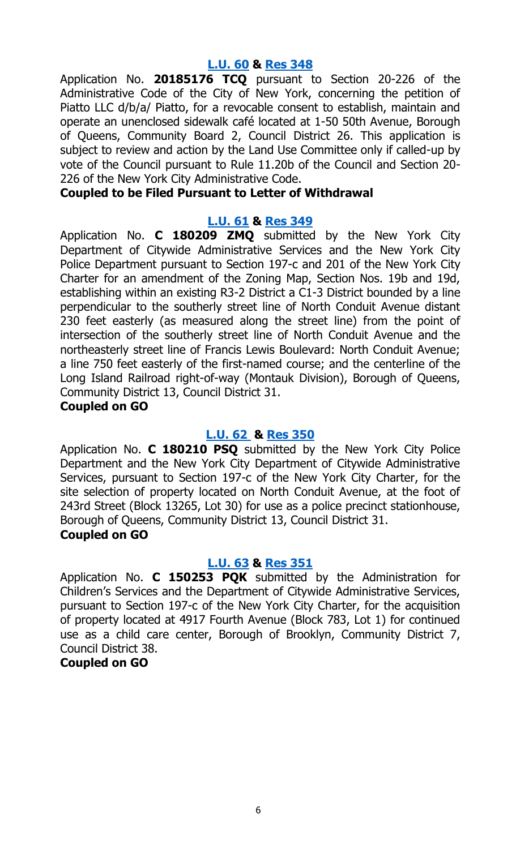#### **[L.U. 60](http://legistar.council.nyc.gov/LegislationDetail.aspx?ID=3474324&GUID=A82C14B1-2CF8-4A8D-8A86-769BE32D1771&Options=&Search=) & [Res](http://legistar.council.nyc.gov/LegislationDetail.aspx?ID=3491963&GUID=A4C64889-CD9D-43FD-BEE8-215BFD1B9FC0&Options=&Search=) 348**

Application No. **20185176 TCQ** pursuant to Section 20-226 of the Administrative Code of the City of New York, concerning the petition of Piatto LLC d/b/a/ Piatto, for a revocable consent to establish, maintain and operate an unenclosed sidewalk café located at 1-50 50th Avenue, Borough of Queens, Community Board 2, Council District 26. This application is subject to review and action by the Land Use Committee only if called-up by vote of the Council pursuant to Rule 11.20b of the Council and Section 20- 226 of the New York City Administrative Code.

#### **Coupled to be Filed Pursuant to Letter of Withdrawal**

#### **[L.U. 61](http://legistar.council.nyc.gov/LegislationDetail.aspx?ID=3474325&GUID=65A50A32-8DFA-4180-A903-6AB4CB004AF7&Options=&Search=) & [Res](http://legistar.council.nyc.gov/LegislationDetail.aspx?ID=3491964&GUID=B65539CD-D6FB-49DC-852D-08664FF4C01B&Options=&Search=) 349**

Application No. **C 180209 ZMQ** submitted by the New York City Department of Citywide Administrative Services and the New York City Police Department pursuant to Section 197-c and 201 of the New York City Charter for an amendment of the Zoning Map, Section Nos. 19b and 19d, establishing within an existing R3-2 District a C1-3 District bounded by a line perpendicular to the southerly street line of North Conduit Avenue distant 230 feet easterly (as measured along the street line) from the point of intersection of the southerly street line of North Conduit Avenue and the northeasterly street line of Francis Lewis Boulevard: North Conduit Avenue; a line 750 feet easterly of the first-named course; and the centerline of the Long Island Railroad right-of-way (Montauk Division), Borough of Queens, Community District 13, Council District 31.

#### **Coupled on GO**

#### **[L.U.](http://legistar.council.nyc.gov/LegislationDetail.aspx?ID=3474326&GUID=07E10EA3-275F-479F-8B6A-9BC17CE8A244&Options=&Search=) 62 & [Res](http://legistar.council.nyc.gov/LegislationDetail.aspx?ID=3491965&GUID=3D4B7C2C-F830-4130-B29F-575A4D2B7390&Options=&Search=) 350**

Application No. **C 180210 PSQ** submitted by the New York City Police Department and the New York City Department of Citywide Administrative Services, pursuant to Section 197-c of the New York City Charter, for the site selection of property located on North Conduit Avenue, at the foot of 243rd Street (Block 13265, Lot 30) for use as a police precinct stationhouse, Borough of Queens, Community District 13, Council District 31. **Coupled on GO**

#### **[L.U. 63](http://legistar.council.nyc.gov/LegislationDetail.aspx?ID=3474327&GUID=8CB72E0E-F100-4338-8BD1-64876AF442BE&Options=&Search=) & [Res](http://legistar.council.nyc.gov/LegislationDetail.aspx?ID=3491966&GUID=65E27211-04F6-4305-B7EB-318904F14381&Options=&Search=) 351**

Application No. **C 150253 PQK** submitted by the Administration for Children's Services and the Department of Citywide Administrative Services, pursuant to Section 197-c of the New York City Charter, for the acquisition of property located at 4917 Fourth Avenue (Block 783, Lot 1) for continued use as a child care center, Borough of Brooklyn, Community District 7, Council District 38.

#### **Coupled on GO**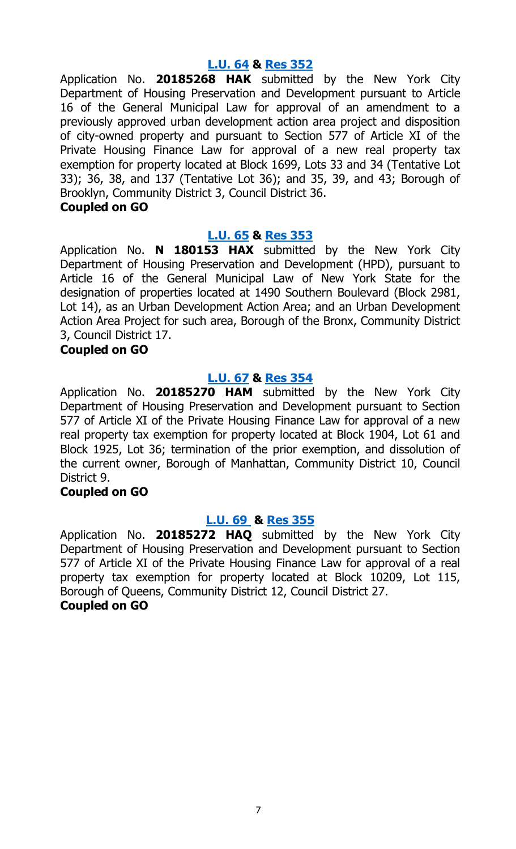#### **[L.U. 64](http://legistar.council.nyc.gov/LegislationDetail.aspx?ID=3474328&GUID=187C83C9-0B90-4941-8489-636ADFA1C424&Options=&Search=) & [Res](http://legistar.council.nyc.gov/LegislationDetail.aspx?ID=3491967&GUID=E5870010-4E03-44CD-9109-5CAB3F94DB18&Options=&Search=) 352**

Application No. **20185268 HAK** submitted by the New York City Department of Housing Preservation and Development pursuant to Article 16 of the General Municipal Law for approval of an amendment to a previously approved urban development action area project and disposition of city-owned property and pursuant to Section 577 of Article XI of the Private Housing Finance Law for approval of a new real property tax exemption for property located at Block 1699, Lots 33 and 34 (Tentative Lot 33); 36, 38, and 137 (Tentative Lot 36); and 35, 39, and 43; Borough of Brooklyn, Community District 3, Council District 36.

#### **Coupled on GO**

#### **[L.U. 65](http://legistar.council.nyc.gov/LegislationDetail.aspx?ID=3474329&GUID=ABD6D720-7152-43C8-8F8E-477A736797F5&Options=&Search=) & [Res](http://legistar.council.nyc.gov/LegislationDetail.aspx?ID=3491968&GUID=9DF6CF64-5822-4603-8C78-BDCCF31811D8&Options=&Search=) 353**

Application No. **N 180153 HAX** submitted by the New York City Department of Housing Preservation and Development (HPD), pursuant to Article 16 of the General Municipal Law of New York State for the designation of properties located at 1490 Southern Boulevard (Block 2981, Lot 14), as an Urban Development Action Area; and an Urban Development Action Area Project for such area, Borough of the Bronx, Community District 3, Council District 17.

#### **Coupled on GO**

#### **[L.U. 67](http://legistar.council.nyc.gov/LegislationDetail.aspx?ID=3474331&GUID=231D9535-DFB5-4E8A-8A5F-936287F954D5&Options=&Search=) & [Res](http://legistar.council.nyc.gov/LegislationDetail.aspx?ID=3492020&GUID=4F461243-3C19-4CA5-88B4-6590140113A6&Options=&Search=) 354**

Application No. **20185270 HAM** submitted by the New York City Department of Housing Preservation and Development pursuant to Section 577 of Article XI of the Private Housing Finance Law for approval of a new real property tax exemption for property located at Block 1904, Lot 61 and Block 1925, Lot 36; termination of the prior exemption, and dissolution of the current owner, Borough of Manhattan, Community District 10, Council District 9.

#### **Coupled on GO**

#### **[L.U.](http://legistar.council.nyc.gov/LegislationDetail.aspx?ID=3474333&GUID=C51F04D1-5643-485F-B7F9-4F368F1D9493&Options=&Search=) 69 & [Res](http://legistar.council.nyc.gov/LegislationDetail.aspx?ID=3492021&GUID=89A1B35B-B383-4B9C-8D82-98DFC4523764&Options=&Search=) 355**

Application No. **20185272 HAQ** submitted by the New York City Department of Housing Preservation and Development pursuant to Section 577 of Article XI of the Private Housing Finance Law for approval of a real property tax exemption for property located at Block 10209, Lot 115, Borough of Queens, Community District 12, Council District 27. **Coupled on GO**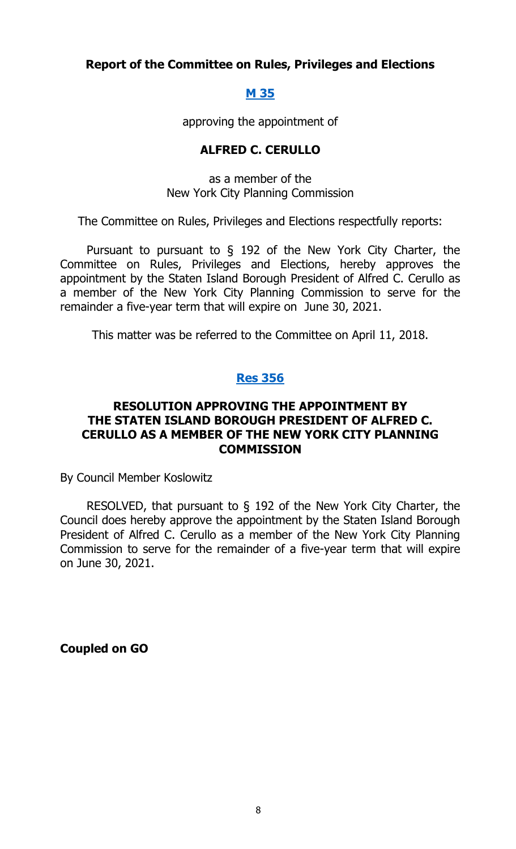#### **Report of the Committee on Rules, Privileges and Elections**

#### **[M 35](http://legistar.council.nyc.gov/LegislationDetail.aspx?ID=3474398&GUID=49849BFB-57E9-4544-8BA8-E51E3953F160&Options=&Search=)**

approving the appointment of

#### **ALFRED C. CERULLO**

as a member of the New York City Planning Commission

The Committee on Rules, Privileges and Elections respectfully reports:

Pursuant to pursuant to § 192 of the New York City Charter, the Committee on Rules, Privileges and Elections, hereby approves the appointment by the Staten Island Borough President of Alfred C. Cerullo as a member of the New York City Planning Commission to serve for the remainder a five-year term that will expire on June 30, 2021.

This matter was be referred to the Committee on April 11, 2018.

#### **Res [356](http://legistar.council.nyc.gov/LegislationDetail.aspx?ID=3498588&GUID=3404B889-33D3-46FE-A515-E02F8B102C57&Options=&Search=)**

#### **RESOLUTION APPROVING THE APPOINTMENT BY THE STATEN ISLAND BOROUGH PRESIDENT OF ALFRED C. CERULLO AS A MEMBER OF THE NEW YORK CITY PLANNING COMMISSION**

By Council Member Koslowitz

RESOLVED, that pursuant to § 192 of the New York City Charter, the Council does hereby approve the appointment by the Staten Island Borough President of Alfred C. Cerullo as a member of the New York City Planning Commission to serve for the remainder of a five-year term that will expire on June 30, 2021.

**Coupled on GO**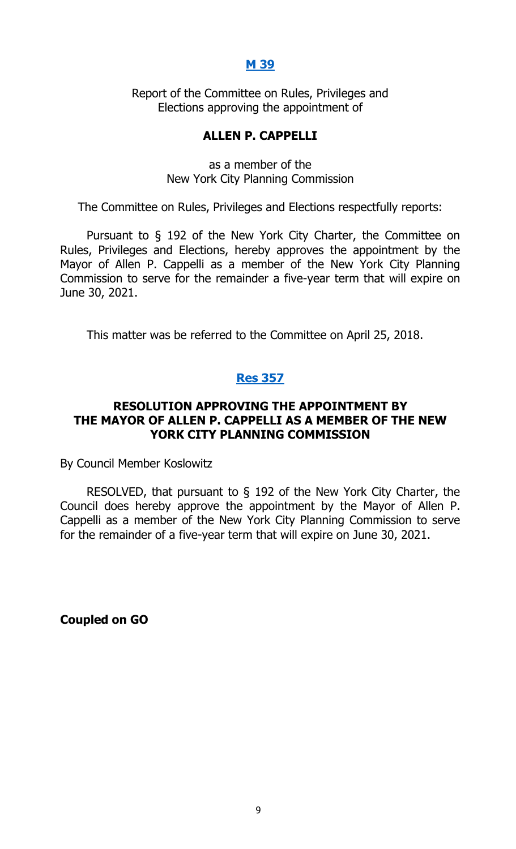#### **[M 39](http://legistar.council.nyc.gov/LegislationDetail.aspx?ID=3480975&GUID=30E6C2BB-7482-4D6D-B70B-B291E3705B9D&Options=&Search=)**

Report of the Committee on Rules, Privileges and Elections approving the appointment of

#### **ALLEN P. CAPPELLI**

as a member of the New York City Planning Commission

The Committee on Rules, Privileges and Elections respectfully reports:

Pursuant to § 192 of the New York City Charter, the Committee on Rules, Privileges and Elections, hereby approves the appointment by the Mayor of Allen P. Cappelli as a member of the New York City Planning Commission to serve for the remainder a five-year term that will expire on June 30, 2021.

This matter was be referred to the Committee on April 25, 2018.

#### **Res [357](http://legistar.council.nyc.gov/LegislationDetail.aspx?ID=3498589&GUID=C74657C5-F91E-4A18-816E-EB09F8EDB0FC&Options=&Search=)**

#### **RESOLUTION APPROVING THE APPOINTMENT BY THE MAYOR OF ALLEN P. CAPPELLI AS A MEMBER OF THE NEW YORK CITY PLANNING COMMISSION**

By Council Member Koslowitz

RESOLVED, that pursuant to § 192 of the New York City Charter, the Council does hereby approve the appointment by the Mayor of Allen P. Cappelli as a member of the New York City Planning Commission to serve for the remainder of a five-year term that will expire on June 30, 2021.

**Coupled on GO**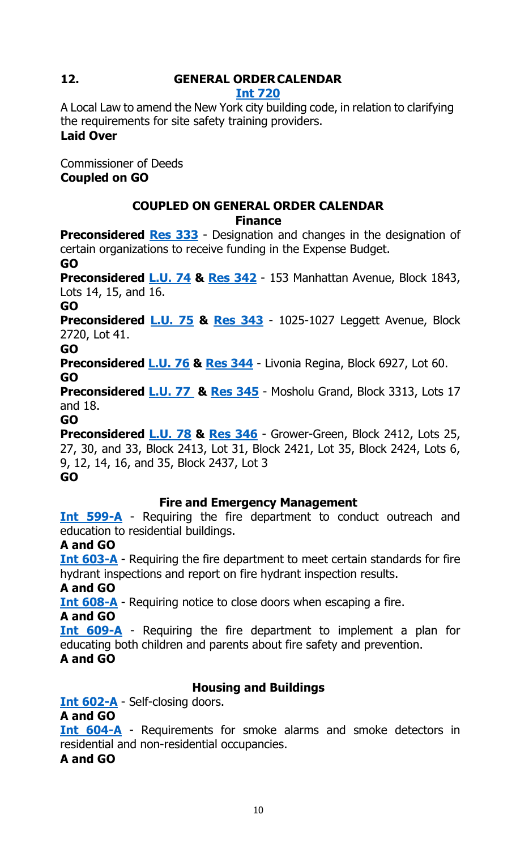## **12. GENERAL ORDERCALENDAR**

#### **Int [720](http://legistar.council.nyc.gov/LegislationDetail.aspx?ID=3364140&GUID=4A00AE92-D940-431A-A3C6-0AA406BC41F1&Options=&Search=)**

A Local Law to amend the New York city building code, in relation to clarifying the requirements for site safety training providers. **Laid Over**

Commissioner of Deeds **Coupled on GO**

#### **COUPLED ON GENERAL ORDER CALENDAR Finance**

**Preconsidered [Res 333](http://legistar.council.nyc.gov/LegislationDetail.aspx?ID=3486066&GUID=C4105D13-E77F-4ADF-AA43-AE1FFD81F378&Options=&Search=)** - Designation and changes in the designation of certain organizations to receive funding in the Expense Budget.

**GO**

**Preconsidered [L.U.](http://legistar.council.nyc.gov/LegislationDetail.aspx?ID=3487227&GUID=B56D5800-06FA-4C53-A84B-F8B872D8CC36&Options=&Search=) 74 & [Res 342](http://legistar.council.nyc.gov/LegislationDetail.aspx?ID=3498583&GUID=44607888-4FA6-4396-AA38-E84C99EB9D12&Options=&Search=)** - 153 Manhattan Avenue, Block 1843, Lots 14, 15, and 16.

#### **GO**

**Preconsidered [L.U.](http://legistar.council.nyc.gov/LegislationDetail.aspx?ID=3487228&GUID=CC1B564B-EA1E-4625-AD3C-A3BA820D0A83&Options=&Search=) 75 & [Res 343](http://legistar.council.nyc.gov/LegislationDetail.aspx?ID=3498584&GUID=23FEE39E-1FAB-4E71-B990-906A172A4EBB&Options=&Search=)** - 1025-1027 Leggett Avenue, Block 2720, Lot 41.

**GO**

**Preconsidered [L.U.](http://legistar.council.nyc.gov/LegislationDetail.aspx?ID=3487236&GUID=8503B32F-1F35-4302-8A47-8888140956AA&Options=&Search=) 76 & [Res 344](http://legistar.council.nyc.gov/LegislationDetail.aspx?ID=3498585&GUID=8E7BDBEF-0D78-49D5-B1AE-C878F311F4B7&Options=&Search=)** - Livonia Regina, Block 6927, Lot 60. **GO**

**Preconsidered [L.U.](http://legistar.council.nyc.gov/LegislationDetail.aspx?ID=3487237&GUID=AE767632-7807-4CD4-8D29-0786EFFCFDCE&Options=&Search=) 77 & [Res 345](http://legistar.council.nyc.gov/LegislationDetail.aspx?ID=3498586&GUID=3610FCC9-04C8-4FB6-AEE8-81D355DAB279&Options=&Search=)** - Mosholu Grand, Block 3313, Lots 17 and 18.

#### **GO**

**Preconsidered [L.U.](http://legistar.council.nyc.gov/LegislationDetail.aspx?ID=3487241&GUID=BA06B577-03DB-4665-A252-6734D543258D&Options=&Search=) 78 & [Res 346](http://legistar.council.nyc.gov/LegislationDetail.aspx?ID=3498587&GUID=61DECB73-372C-4A01-BFAA-FF4AA53C008E&Options=&Search=)** - Grower-Green, Block 2412, Lots 25, 27, 30, and 33, Block 2413, Lot 31, Block 2421, Lot 35, Block 2424, Lots 6, 9, 12, 14, 16, and 35, Block 2437, Lot 3 **GO**

#### **Fire and Emergency Management**

**[Int 599-A](http://legistar.council.nyc.gov/LegislationDetail.aspx?ID=3344783&GUID=BD1E5F9D-0895-4F36-9FB7-F70E366378E5&Options=&Search=)** - Requiring the fire department to conduct outreach and education to residential buildings.

#### **A and GO**

**[Int 603-A](http://legistar.council.nyc.gov/LegislationDetail.aspx?ID=3342618&GUID=06AEBD95-3894-48A8-8459-1BA51EA92FEE&Options=&Search=)** - Requiring the fire department to meet certain standards for fire hydrant inspections and report on fire hydrant inspection results.

**A and GO**

**[Int 608-A](http://legistar.council.nyc.gov/LegislationDetail.aspx?ID=3342612&GUID=E108470E-A840-4314-A7EF-FBE65A45B2AE&Options=&Search=)** - Requiring notice to close doors when escaping a fire.

**A and GO**

**[Int 609-A](http://legistar.council.nyc.gov/LegislationDetail.aspx?ID=3342616&GUID=07858C64-EB4E-4910-9B9C-64B521E02CCC&Options=&Search=)** - Requiring the fire department to implement a plan for educating both children and parents about fire safety and prevention. **A and GO**

#### **Housing and Buildings**

**[Int 602-A](http://legistar.council.nyc.gov/LegislationDetail.aspx?ID=3342614&GUID=5DA866E9-82B4-4182-ABD1-54911FF003B9&Options=&Search=)** - Self-closing doors.

#### **A and GO**

**[Int 604-A](http://legistar.council.nyc.gov/LegislationDetail.aspx?ID=3342613&GUID=E4BCA6DB-1E24-4B2F-A39C-DA1C6423C664&Options=&Search=)** - Requirements for smoke alarms and smoke detectors in residential and non-residential occupancies.

**A and GO**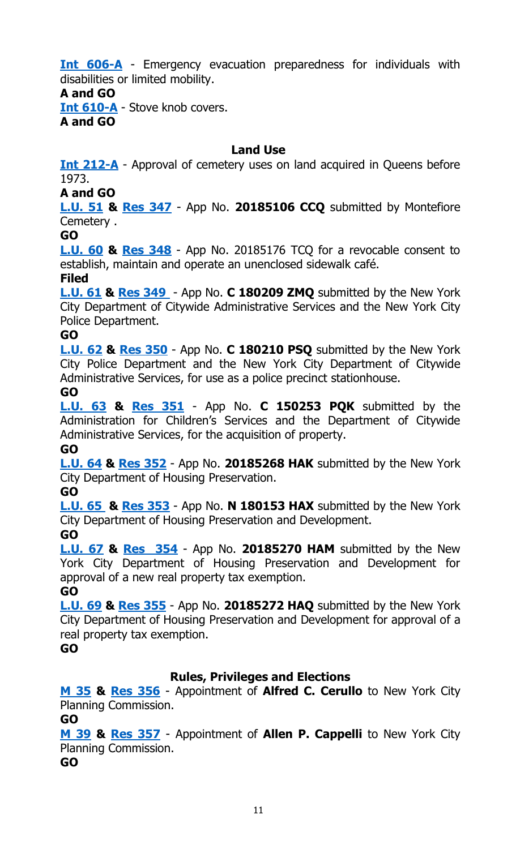**[Int 606-A](http://legistar.council.nyc.gov/LegislationDetail.aspx?ID=3342617&GUID=C4E7AA5D-2F97-4C1D-A2F6-7462C83D2F61&Options=&Search=)** - Emergency evacuation preparedness for individuals with disabilities or limited mobility.

#### **A and GO**

**[Int 610-A](http://legistar.council.nyc.gov/LegislationDetail.aspx?ID=3342615&GUID=F2E2783F-7B55-4FCC-A3A9-C6792E05C755&Options=&Search=)** - Stove knob covers.

**A and GO**

#### **Land Use**

**[Int 212-A](http://legistar.council.nyc.gov/LegislationDetail.aspx?ID=3331887&GUID=8C6BBF4E-0AD0-4F65-8EBB-C530B3CE774D&Options=&Search=)** - Approval of cemetery uses on land acquired in Queens before 1973.

#### **A and GO**

**[L.U. 51](http://legistar.council.nyc.gov/LegislationDetail.aspx?ID=3455357&GUID=84B3A654-B480-4B4D-B0A9-8461A3E32461&Options=&Search=) & [Res](http://legistar.council.nyc.gov/LegislationDetail.aspx?ID=3491962&GUID=9994CD6C-59D7-49E4-B140-1B02E09EECEC&Options=&Search=) 347** - App No. **20185106 CCQ** submitted by Montefiore Cemetery .

#### **GO**

**[L.U. 60](http://legistar.council.nyc.gov/LegislationDetail.aspx?ID=3474324&GUID=A82C14B1-2CF8-4A8D-8A86-769BE32D1771&Options=&Search=) & [Res 348](http://legistar.council.nyc.gov/LegislationDetail.aspx?ID=3491963&GUID=A4C64889-CD9D-43FD-BEE8-215BFD1B9FC0&Options=&Search=)** - App No. 20185176 TCQ for a revocable consent to establish, maintain and operate an unenclosed sidewalk café.

#### **Filed**

**[L.U. 61](http://legistar.council.nyc.gov/LegislationDetail.aspx?ID=3474325&GUID=65A50A32-8DFA-4180-A903-6AB4CB004AF7&Options=&Search=) & [Res](http://legistar.council.nyc.gov/LegislationDetail.aspx?ID=3491964&GUID=B65539CD-D6FB-49DC-852D-08664FF4C01B&Options=&Search=) 349** - App No. **C 180209 ZMQ** submitted by the New York City Department of Citywide Administrative Services and the New York City Police Department.

#### **GO**

**[L.U. 62](http://legistar.council.nyc.gov/LegislationDetail.aspx?ID=3474326&GUID=07E10EA3-275F-479F-8B6A-9BC17CE8A244&Options=&Search=) & [Res](http://legistar.council.nyc.gov/LegislationDetail.aspx?ID=3491965&GUID=3D4B7C2C-F830-4130-B29F-575A4D2B7390&Options=&Search=) 350** - App No. **C 180210 PSQ** submitted by the New York City Police Department and the New York City Department of Citywide Administrative Services, for use as a police precinct stationhouse.

#### **GO**

**[L.U. 63](http://legistar.council.nyc.gov/LegislationDetail.aspx?ID=3474327&GUID=8CB72E0E-F100-4338-8BD1-64876AF442BE&Options=&Search=) & [Res](http://legistar.council.nyc.gov/LegislationDetail.aspx?ID=3491966&GUID=65E27211-04F6-4305-B7EB-318904F14381&Options=&Search=) 351** - App No. **C 150253 PQK** submitted by the Administration for Children's Services and the Department of Citywide Administrative Services, for the acquisition of property.

#### **GO**

**[L.U. 64](http://legistar.council.nyc.gov/LegislationDetail.aspx?ID=3474328&GUID=187C83C9-0B90-4941-8489-636ADFA1C424&Options=&Search=) & [Res](http://legistar.council.nyc.gov/LegislationDetail.aspx?ID=3491967&GUID=E5870010-4E03-44CD-9109-5CAB3F94DB18&Options=&Search=) 352** - App No. **20185268 HAK** submitted by the New York City Department of Housing Preservation.

**GO**

**[L.U.](http://legistar.council.nyc.gov/LegislationDetail.aspx?ID=3474329&GUID=ABD6D720-7152-43C8-8F8E-477A736797F5&Options=&Search=) 65 & [Res](http://legistar.council.nyc.gov/LegislationDetail.aspx?ID=3491968&GUID=9DF6CF64-5822-4603-8C78-BDCCF31811D8&Options=&Search=) 353** - App No. **N 180153 HAX** submitted by the New York City Department of Housing Preservation and Development. **GO**

**[L.U. 67](http://legistar.council.nyc.gov/LegislationDetail.aspx?ID=3474331&GUID=231D9535-DFB5-4E8A-8A5F-936287F954D5&Options=&Search=) & [Res](http://legistar.council.nyc.gov/LegislationDetail.aspx?ID=3492020&GUID=4F461243-3C19-4CA5-88B4-6590140113A6&Options=&Search=) 354** - App No. **20185270 HAM** submitted by the New York City Department of Housing Preservation and Development for approval of a new real property tax exemption.

**GO**

**[L.U. 69](http://legistar.council.nyc.gov/LegislationDetail.aspx?ID=3474333&GUID=C51F04D1-5643-485F-B7F9-4F368F1D9493&Options=&Search=) & [Res](http://legistar.council.nyc.gov/LegislationDetail.aspx?ID=3492021&GUID=89A1B35B-B383-4B9C-8D82-98DFC4523764&Options=&Search=) 355** - App No. **20185272 HAQ** submitted by the New York City Department of Housing Preservation and Development for approval of a real property tax exemption.

**GO**

#### **Rules, Privileges and Elections**

**[M 35](http://legistar.council.nyc.gov/LegislationDetail.aspx?ID=3474398&GUID=49849BFB-57E9-4544-8BA8-E51E3953F160&Options=&Search=) & [Res 356](http://legistar.council.nyc.gov/LegislationDetail.aspx?ID=3498588&GUID=3404B889-33D3-46FE-A515-E02F8B102C57&Options=&Search=)** - Appointment of **Alfred C. Cerullo** to New York City Planning Commission.

**GO**

**[M 39](http://legistar.council.nyc.gov/LegislationDetail.aspx?ID=3480975&GUID=30E6C2BB-7482-4D6D-B70B-B291E3705B9D&Options=&Search=) & [Res 357](http://legistar.council.nyc.gov/LegislationDetail.aspx?ID=3498589&GUID=C74657C5-F91E-4A18-816E-EB09F8EDB0FC&Options=&Search=)** - Appointment of **Allen P. Cappelli** to New York City Planning Commission.

**GO**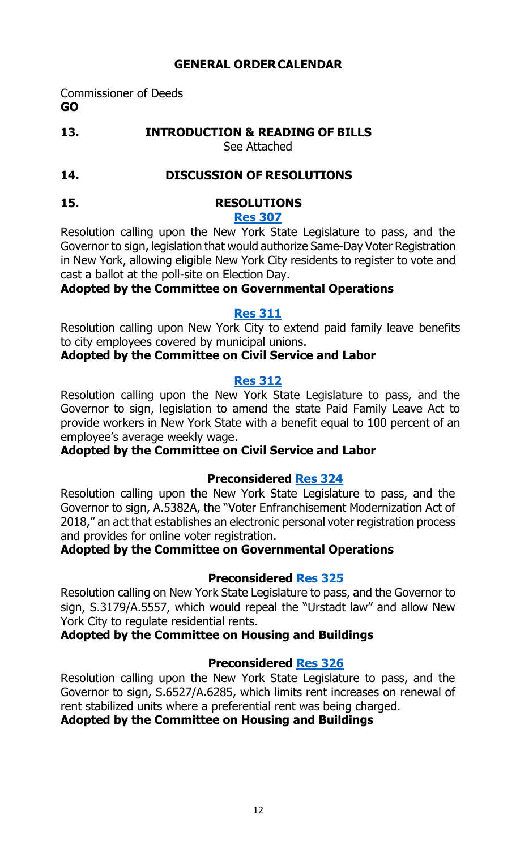#### **GENERAL ORDERCALENDAR**

Commissioner of Deeds **GO**

**13. INTRODUCTION & READING OF BILLS**

See Attached

#### **14. DISCUSSION OF RESOLUTIONS**

#### **15. RESOLUTIONS [Res 307](http://legistar.council.nyc.gov/LegislationDetail.aspx?ID=3486110&GUID=1A5C1CFF-9D7B-41C2-9979-A8C1CCBAE76D&Options=&Search=)**

Resolution calling upon the New York State Legislature to pass, and the Governor to sign, legislation that would authorize Same-Day Voter Registration in New York, allowing eligible New York City residents to register to vote and cast a ballot at the poll-site on Election Day.

#### **Adopted by the Committee on Governmental Operations**

#### **[Res 311](http://legistar.council.nyc.gov/LegislationDetail.aspx?ID=3480155&GUID=B2419064-CE67-4B84-8BB9-2FBAA737CEF9&Options=&Search=)**

Resolution calling upon New York City to extend paid family leave benefits to city employees covered by municipal unions.

#### **Adopted by the Committee on Civil Service and Labor**

#### **[Res 312](http://legistar.council.nyc.gov/LegislationDetail.aspx?ID=3480154&GUID=4435D8BC-E2A7-4C99-8FB1-A3DAE4DCD7C5&Options=&Search=)**

Resolution calling upon the New York State Legislature to pass, and the Governor to sign, legislation to amend the state Paid Family Leave Act to provide workers in New York State with a benefit equal to 100 percent of an employee's average weekly wage.

#### **Adopted by the Committee on Civil Service and Labor**

#### **Preconsidered [Res](http://legistar.council.nyc.gov/LegislationDetail.aspx?ID=3490043&GUID=D790C639-DA44-4966-B65C-88A6C0BCAD20&Options=&Search=) 324**

Resolution calling upon the New York State Legislature to pass, and the Governor to sign, A.5382A, the "Voter Enfranchisement Modernization Act of 2018," an act that establishes an electronic personal voter registration process and provides for online voter registration.

#### **Adopted by the Committee on Governmental Operations**

#### **Preconsidered [Res 325](http://legistar.council.nyc.gov/LegislationDetail.aspx?ID=3491192&GUID=47108BE0-D0CE-4261-ABCD-4593A55F1878&Options=&Search=)**

Resolution calling on New York State Legislature to pass, and the Governor to sign, S.3179/A.5557, which would repeal the "Urstadt law" and allow New York City to regulate residential rents.

#### **Adopted by the Committee on Housing and Buildings**

#### **Preconsidered [Res 326](http://legistar.council.nyc.gov/LegislationDetail.aspx?ID=3491193&GUID=E877E7B3-9B09-4061-8E12-91E6486B421F&Options=&Search=)**

Resolution calling upon the New York State Legislature to pass, and the Governor to sign, S.6527/A.6285, which limits rent increases on renewal of rent stabilized units where a preferential rent was being charged.

#### **Adopted by the Committee on Housing and Buildings**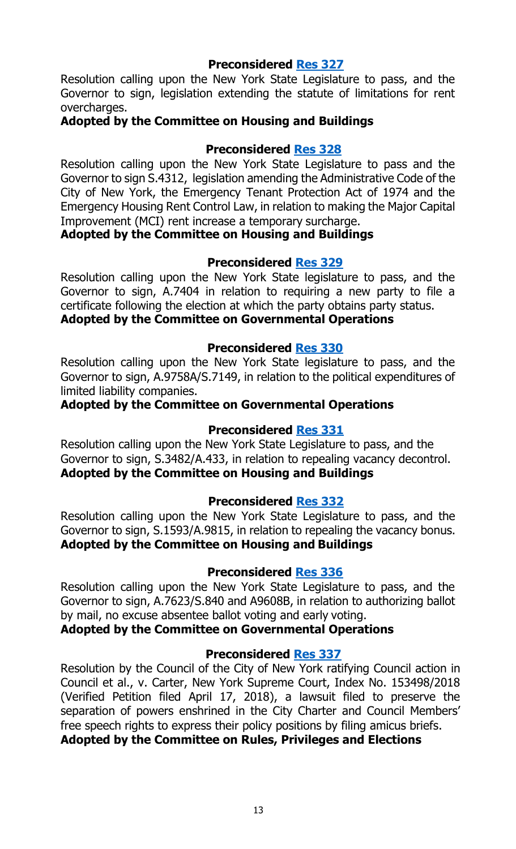Resolution calling upon the New York State Legislature to pass, and the Governor to sign, legislation extending the statute of limitations for rent overcharges.

#### **Adopted by the Committee on Housing and Buildings**

#### **Preconsidered [Res 328](http://legistar.council.nyc.gov/LegislationDetail.aspx?ID=3491227&GUID=0622B3FB-03F7-4786-BC62-ACBBD6B1543B&Options=&Search=)**

Resolution calling upon the New York State Legislature to pass and the Governor to sign S.4312, legislation amending the Administrative Code of the City of New York, the Emergency Tenant Protection Act of 1974 and the Emergency Housing Rent Control Law, in relation to making the Major Capital Improvement (MCI) rent increase a temporary surcharge.

#### **Adopted by the Committee on Housing and Buildings**

#### **Preconsidered [Res](http://legistar.council.nyc.gov/LegislationDetail.aspx?ID=3490045&GUID=629BCA94-7F8E-456B-AF58-051B700B5D84&Options=&Search=) 329**

Resolution calling upon the New York State legislature to pass, and the Governor to sign, A.7404 in relation to requiring a new party to file a certificate following the election at which the party obtains party status. **Adopted by the Committee on Governmental Operations**

#### **Preconsidered [Res](http://legistar.council.nyc.gov/LegislationDetail.aspx?ID=3490044&GUID=80C22DFE-F10E-4476-87E0-B8C89EFED210&Options=&Search=) 330**

Resolution calling upon the New York State legislature to pass, and the Governor to sign, A.9758A/S.7149, in relation to the political expenditures of limited liability companies.

#### **Adopted by the Committee on Governmental Operations**

#### **Preconsidered [Res 331](http://legistar.council.nyc.gov/LegislationDetail.aspx?ID=3491242&GUID=796AAF39-77DD-4F7D-A44A-B7EFF7A88F19&Options=&Search=)**

Resolution calling upon the New York State Legislature to pass, and the Governor to sign, S.3482/A.433, in relation to repealing vacancy decontrol. **Adopted by the Committee on Housing and Buildings**

#### **Preconsidered [Res 332](http://legistar.council.nyc.gov/LegislationDetail.aspx?ID=3491197&GUID=2CF32455-F9E6-436E-907E-A2E214C60DDE&Options=&Search=)**

Resolution calling upon the New York State Legislature to pass, and the Governor to sign, S.1593/A.9815, in relation to repealing the vacancy bonus. **Adopted by the Committee on Housing and Buildings**

#### **Preconsidered [Res](http://legistar.council.nyc.gov/LegislationDetail.aspx?ID=3490046&GUID=C44C8DD1-0200-4BB8-917B-B3E1D50584D9&Options=&Search=) 336**

Resolution calling upon the New York State Legislature to pass, and the Governor to sign, A.7623/S.840 and A9608B, in relation to authorizing ballot by mail, no excuse absentee ballot voting and early voting.

**Adopted by the Committee on Governmental Operations**

#### **Preconsidered [Res 337](http://legistar.council.nyc.gov/LegislationDetail.aspx?ID=3497851&GUID=BCEEE1CF-37BF-4FB6-86EE-8962378A43FC&Options=&Search=)**

Resolution by the Council of the City of New York ratifying Council action in Council et al., v. Carter, New York Supreme Court, Index No. 153498/2018 (Verified Petition filed April 17, 2018), a lawsuit filed to preserve the separation of powers enshrined in the City Charter and Council Members' free speech rights to express their policy positions by filing amicus briefs. **Adopted by the Committee on Rules, Privileges and Elections**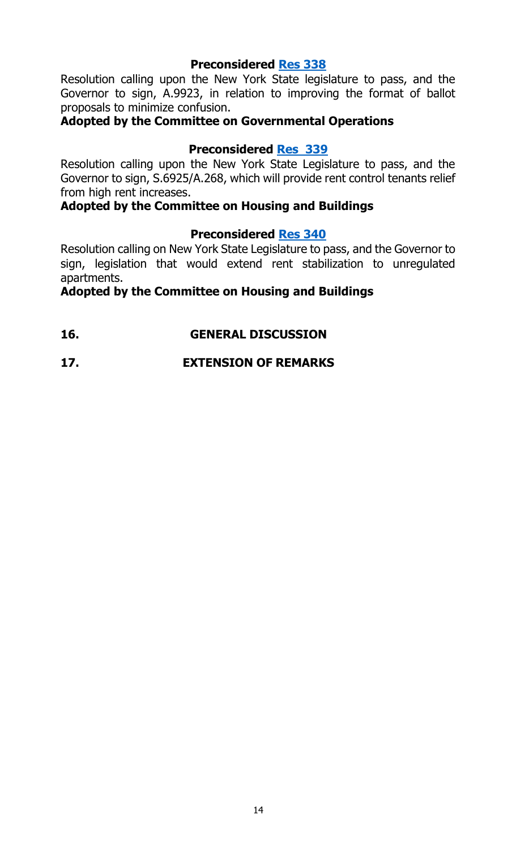Resolution calling upon the New York State legislature to pass, and the Governor to sign, A.9923, in relation to improving the format of ballot proposals to minimize confusion.

#### **Adopted by the Committee on Governmental Operations**

#### **Preconsidered [Res](http://legistar.council.nyc.gov/LegislationDetail.aspx?ID=3491243&GUID=DB925DB3-8B02-4F1E-968D-BDDAA7899ED3&Options=&Search=) 339**

Resolution calling upon the New York State Legislature to pass, and the Governor to sign, S.6925/A.268, which will provide rent control tenants relief from high rent increases.

#### **Adopted by the Committee on Housing and Buildings**

#### **Preconsidered [Res](http://legistar.council.nyc.gov/LegislationDetail.aspx?ID=3491244&GUID=6487CD6D-FE22-44B6-B60E-A199B5A8CD2C&Options=&Search=) 340**

Resolution calling on New York State Legislature to pass, and the Governor to sign, legislation that would extend rent stabilization to unregulated apartments.

#### **Adopted by the Committee on Housing and Buildings**

**16. GENERAL DISCUSSION**

#### **17. EXTENSION OF REMARKS**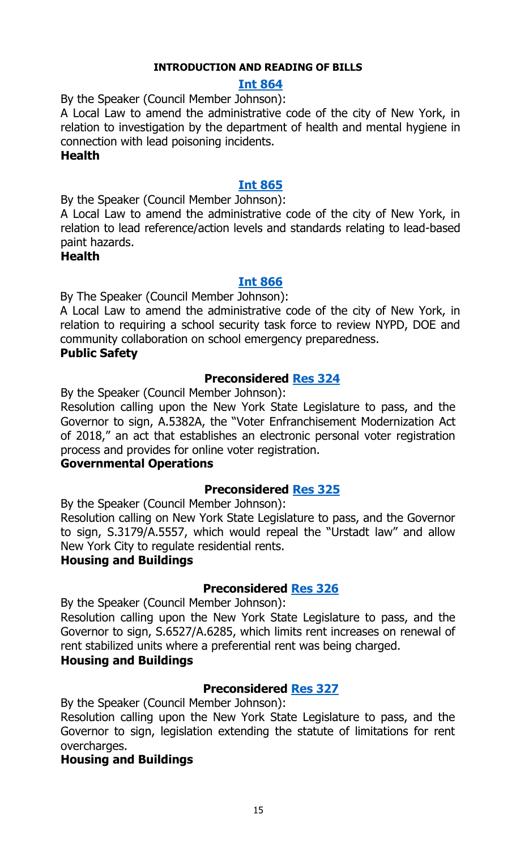#### **INTRODUCTION AND READING OF BILLS**

#### **Int [864](http://legistar.council.nyc.gov/LegislationDetail.aspx?ID=3498450&GUID=3BDB51B9-BA59-41E4-A98D-4333183182C3&Options=&Search=)**

#### By the Speaker (Council Member Johnson):

A Local Law to amend the administrative code of the city of New York, in relation to investigation by the department of health and mental hygiene in connection with lead poisoning incidents.

#### **Health**

#### **Int [865](http://legistar.council.nyc.gov/LegislationDetail.aspx?ID=3498451&GUID=32932F9A-CBB0-4413-95F3-4AFCCCE64F41&Options=&Search=)**

By the Speaker (Council Member Johnson):

A Local Law to amend the administrative code of the city of New York, in relation to lead reference/action levels and standards relating to lead-based paint hazards.

#### **Health**

#### **Int [866](http://legistar.council.nyc.gov/LegislationDetail.aspx?ID=3498448&GUID=2526BD72-681E-41E6-AC2F-044C06DDD835&Options=&Search=)**

By The Speaker (Council Member Johnson):

A Local Law to amend the administrative code of the city of New York, in relation to requiring a school security task force to review NYPD, DOE and community collaboration on school emergency preparedness.

#### **Public Safety**

#### **Preconsidered [Res](http://legistar.council.nyc.gov/LegislationDetail.aspx?ID=3490043&GUID=D790C639-DA44-4966-B65C-88A6C0BCAD20&Options=&Search=) 324**

By the Speaker (Council Member Johnson):

Resolution calling upon the New York State Legislature to pass, and the Governor to sign, A.5382A, the "Voter Enfranchisement Modernization Act of 2018," an act that establishes an electronic personal voter registration process and provides for online voter registration.

#### **Governmental Operations**

#### **Preconsidered [Res](http://legistar.council.nyc.gov/LegislationDetail.aspx?ID=3491192&GUID=47108BE0-D0CE-4261-ABCD-4593A55F1878&Options=&Search=) 325**

By the Speaker (Council Member Johnson):

Resolution calling on New York State Legislature to pass, and the Governor to sign, S.3179/A.5557, which would repeal the "Urstadt law" and allow New York City to regulate residential rents.

#### **Housing and Buildings**

#### **Preconsidered [Res](http://legistar.council.nyc.gov/LegislationDetail.aspx?ID=3491193&GUID=E877E7B3-9B09-4061-8E12-91E6486B421F&Options=&Search=) 326**

By the Speaker (Council Member Johnson):

Resolution calling upon the New York State Legislature to pass, and the Governor to sign, S.6527/A.6285, which limits rent increases on renewal of rent stabilized units where a preferential rent was being charged.

#### **Housing and Buildings**

#### **Preconsidered [Res](http://legistar.council.nyc.gov/LegislationDetail.aspx?ID=3491198&GUID=BF553729-8678-4B8D-99DB-B4D93EC0BB1C&Options=&Search=) 327**

By the Speaker (Council Member Johnson):

Resolution calling upon the New York State Legislature to pass, and the Governor to sign, legislation extending the statute of limitations for rent overcharges.

#### **Housing and Buildings**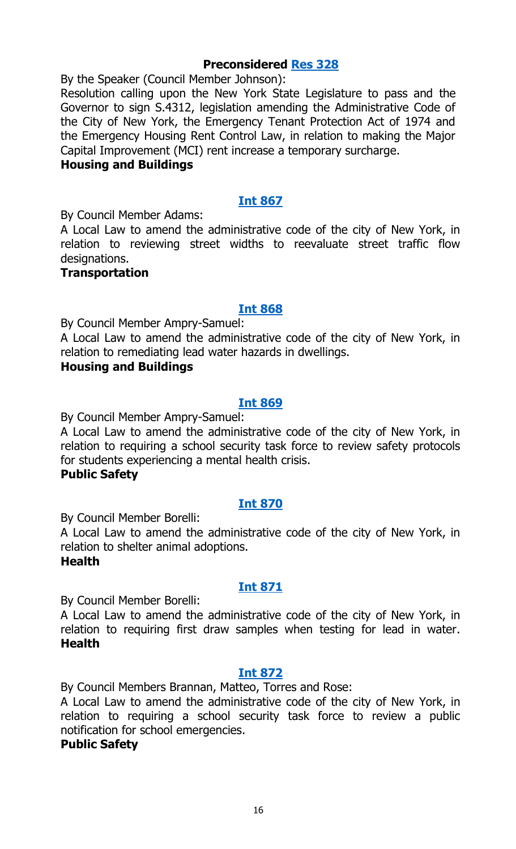By the Speaker (Council Member Johnson):

Resolution calling upon the New York State Legislature to pass and the Governor to sign S.4312, legislation amending the Administrative Code of the City of New York, the Emergency Tenant Protection Act of 1974 and the Emergency Housing Rent Control Law, in relation to making the Major Capital Improvement (MCI) rent increase a temporary surcharge.

#### **Housing and Buildings**

#### **Int [867](http://legistar.council.nyc.gov/LegislationDetail.aspx?ID=3498446&GUID=76D3FAA7-45DC-4CD2-8B49-CE711DB86E7E&Options=&Search=)**

By Council Member Adams:

A Local Law to amend the administrative code of the city of New York, in relation to reviewing street widths to reevaluate street traffic flow designations.

#### **Transportation**

#### **Int [868](http://legistar.council.nyc.gov/LegislationDetail.aspx?ID=3498452&GUID=6D4215BA-F844-4334-B4BF-32499E5A472C&Options=&Search=)**

By Council Member Ampry-Samuel:

A Local Law to amend the administrative code of the city of New York, in relation to remediating lead water hazards in dwellings.

#### **Housing and Buildings**

#### **Int [869](http://legistar.council.nyc.gov/LegislationDetail.aspx?ID=3498449&GUID=72EF1E15-5CAF-4536-BC0E-B5D869117874&Options=&Search=)**

By Council Member Ampry-Samuel:

A Local Law to amend the administrative code of the city of New York, in relation to requiring a school security task force to review safety protocols for students experiencing a mental health crisis.

#### **Public Safety**

#### **Int [870](http://legistar.council.nyc.gov/LegislationDetail.aspx?ID=3498447&GUID=8634B3C2-1030-4E97-AD4A-6DE91640A2E0&Options=&Search=)**

By Council Member Borelli:

A Local Law to amend the administrative code of the city of New York, in relation to shelter animal adoptions.

#### **Health**

#### **Int [871](http://legistar.council.nyc.gov/LegislationDetail.aspx?ID=3498485&GUID=294DE66F-633F-4587-85BF-AC52316861CC&Options=&Search=)**

By Council Member Borelli:

A Local Law to amend the administrative code of the city of New York, in relation to requiring first draw samples when testing for lead in water. **Health**

#### **Int [872](http://legistar.council.nyc.gov/LegislationDetail.aspx?ID=3498482&GUID=8C82816C-5D84-49E0-BA6A-6347FC301161&Options=&Search=)**

By Council Members Brannan, Matteo, Torres and Rose:

A Local Law to amend the administrative code of the city of New York, in relation to requiring a school security task force to review a public notification for school emergencies.

#### **Public Safety**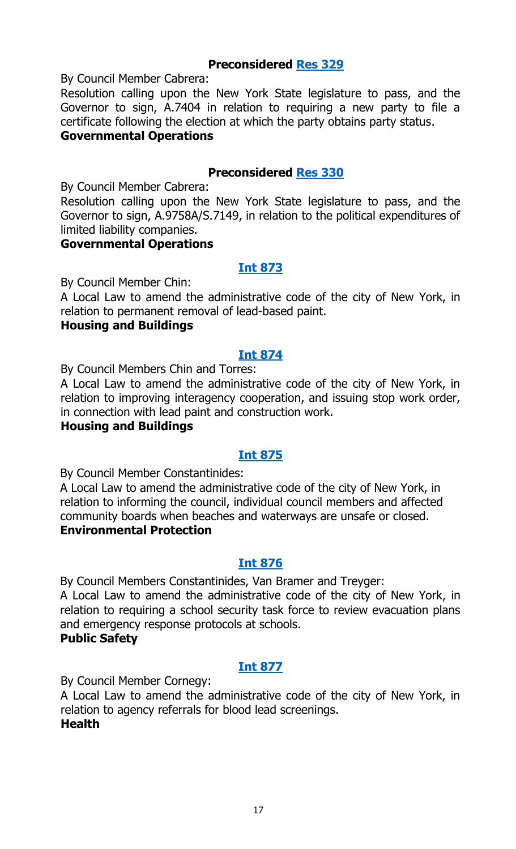By Council Member Cabrera:

Resolution calling upon the New York State legislature to pass, and the Governor to sign, A.7404 in relation to requiring a new party to file a certificate following the election at which the party obtains party status.

#### **Governmental Operations**

#### **Preconsidered [Res](http://legistar.council.nyc.gov/LegislationDetail.aspx?ID=3490044&GUID=80C22DFE-F10E-4476-87E0-B8C89EFED210&Options=&Search=) 330**

By Council Member Cabrera:

Resolution calling upon the New York State legislature to pass, and the Governor to sign, A.9758A/S.7149, in relation to the political expenditures of limited liability companies.

#### **Governmental Operations**

#### **Int [873](http://legistar.council.nyc.gov/LegislationDetail.aspx?ID=3498486&GUID=C44E1098-18F0-4821-A9EE-8FC5355230F0&Options=&Search=)**

By Council Member Chin:

A Local Law to amend the administrative code of the city of New York, in relation to permanent removal of lead-based paint.

#### **Housing and Buildings**

#### **Int [874](http://legistar.council.nyc.gov/LegislationDetail.aspx?ID=3498489&GUID=5AEDE1B2-26A1-4794-8400-C21C6017BA91&Options=&Search=)**

By Council Members Chin and Torres:

A Local Law to amend the administrative code of the city of New York, in relation to improving interagency cooperation, and issuing stop work order, in connection with lead paint and construction work.

#### **Housing and Buildings**

#### **Int [875](http://legistar.council.nyc.gov/LegislationDetail.aspx?ID=3498471&GUID=83C3A2A2-F948-4326-A825-2D7F1F715025&Options=&Search=)**

By Council Member Constantinides:

A Local Law to amend the administrative code of the city of New York, in relation to informing the council, individual council members and affected community boards when beaches and waterways are unsafe or closed. **Environmental Protection**

#### **Int [876](http://legistar.council.nyc.gov/LegislationDetail.aspx?ID=3498481&GUID=53A4ECCD-7C68-417E-B510-8886890854AD&Options=&Search=)**

By Council Members Constantinides, Van Bramer and Treyger: A Local Law to amend the administrative code of the city of New York, in relation to requiring a school security task force to review evacuation plans and emergency response protocols at schools. **Public Safety**

#### **Int [877](http://legistar.council.nyc.gov/LegislationDetail.aspx?ID=3498487&GUID=AD975873-6473-4FC1-9DEE-4C3D4F3F6865&Options=&Search=)**

By Council Member Cornegy:

A Local Law to amend the administrative code of the city of New York, in relation to agency referrals for blood lead screenings. **Health**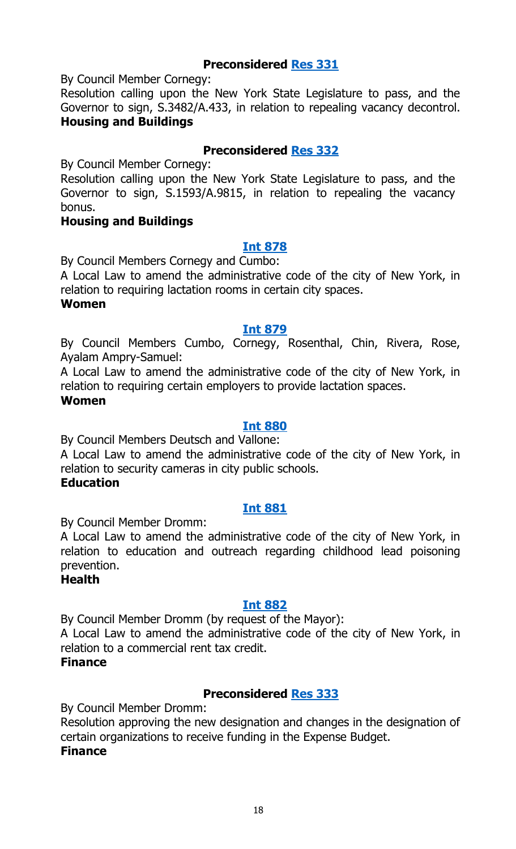By Council Member Cornegy:

Resolution calling upon the New York State Legislature to pass, and the Governor to sign, S.3482/A.433, in relation to repealing vacancy decontrol. **Housing and Buildings**

#### **Preconsidered [Res](http://legistar.council.nyc.gov/LegislationDetail.aspx?ID=3491197&GUID=2CF32455-F9E6-436E-907E-A2E214C60DDE&Options=&Search=) 332**

By Council Member Cornegy:

Resolution calling upon the New York State Legislature to pass, and the Governor to sign, S.1593/A.9815, in relation to repealing the vacancy bonus.

#### **Housing and Buildings**

#### **Int [878](http://legistar.council.nyc.gov/LegislationDetail.aspx?ID=3498480&GUID=2D855420-B17C-4397-9C8F-1FEA63FFC852&Options=&Search=)**

By Council Members Cornegy and Cumbo:

A Local Law to amend the administrative code of the city of New York, in relation to requiring lactation rooms in certain city spaces.

#### **Women**

#### **Int [879](http://legistar.council.nyc.gov/LegislationDetail.aspx?ID=3498479&GUID=0379DE1A-74CC-47E4-A883-25CC388CFD7F&Options=&Search=)**

By Council Members Cumbo, Cornegy, Rosenthal, Chin, Rivera, Rose, Ayalam Ampry-Samuel:

A Local Law to amend the administrative code of the city of New York, in relation to requiring certain employers to provide lactation spaces.

#### **Women**

#### **Int [880](http://legistar.council.nyc.gov/LegislationDetail.aspx?ID=3498483&GUID=859C881D-F872-4C33-A48E-D4B9154FBD7E&Options=&Search=)**

By Council Members Deutsch and Vallone:

A Local Law to amend the administrative code of the city of New York, in relation to security cameras in city public schools.

#### **Education**

#### **Int [881](http://legistar.council.nyc.gov/LegislationDetail.aspx?ID=3498488&GUID=9BA70A4F-CC51-485F-B807-E68DEFBDCA50&Options=&Search=)**

By Council Member Dromm:

A Local Law to amend the administrative code of the city of New York, in relation to education and outreach regarding childhood lead poisoning prevention.

#### **Health**

#### **Int [882](http://legistar.council.nyc.gov/LegislationDetail.aspx?ID=3498484&GUID=342D8078-1838-487B-A7FE-F757BEB2721D&Options=&Search=)**

By Council Member Dromm (by request of the Mayor): A Local Law to amend the administrative code of the city of New York, in relation to a commercial rent tax credit.

#### **Finance**

#### **Preconsidered [Res](http://legistar.council.nyc.gov/LegislationDetail.aspx?ID=3486066&GUID=C4105D13-E77F-4ADF-AA43-AE1FFD81F378&Options=&Search=) 333**

By Council Member Dromm:

Resolution approving the new designation and changes in the designation of certain organizations to receive funding in the Expense Budget.

#### **Finance**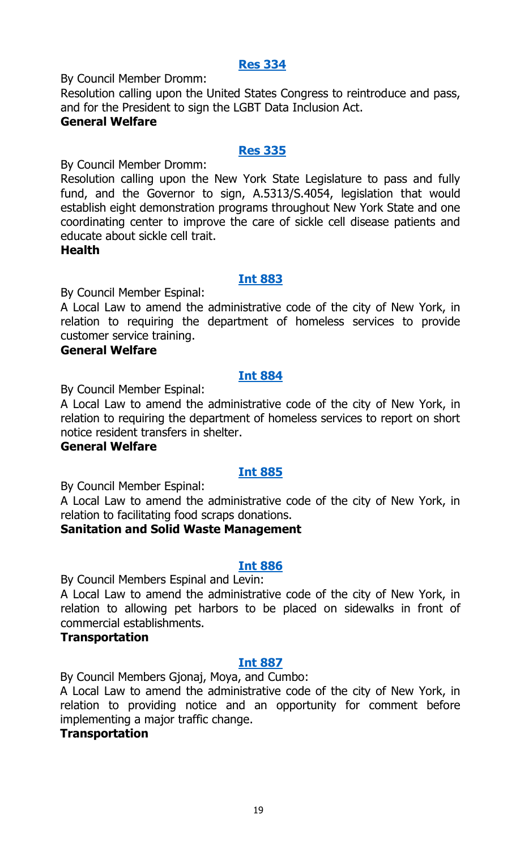#### **Res [334](http://legistar.council.nyc.gov/LegislationDetail.aspx?ID=3498469&GUID=2F835AEB-73C8-43D0-A9F0-E69C464F97E4&Options=&Search=)**

By Council Member Dromm:

Resolution calling upon the United States Congress to reintroduce and pass, and for the President to sign the LGBT Data Inclusion Act.

#### **General Welfare**

#### **Res [335](http://legistar.council.nyc.gov/LegislationDetail.aspx?ID=3498475&GUID=AE8A7214-DC73-40DB-A2A2-7B44349119E1&Options=&Search=)**

By Council Member Dromm:

Resolution calling upon the New York State Legislature to pass and fully fund, and the Governor to sign, A.5313/S.4054, legislation that would establish eight demonstration programs throughout New York State and one coordinating center to improve the care of sickle cell disease patients and educate about sickle cell trait.

#### **Health**

#### **Int [883](http://legistar.council.nyc.gov/LegislationDetail.aspx?ID=3498478&GUID=C0334F31-8374-4860-AC59-2E00539E60E5&Options=&Search=)**

By Council Member Espinal:

A Local Law to amend the administrative code of the city of New York, in relation to requiring the department of homeless services to provide customer service training.

#### **General Welfare**

#### **Int [884](http://legistar.council.nyc.gov/LegislationDetail.aspx?ID=3498470&GUID=FE2C45DE-9EA6-4F5D-8343-74AD61E256B9&Options=&Search=)**

By Council Member Espinal:

A Local Law to amend the administrative code of the city of New York, in relation to requiring the department of homeless services to report on short notice resident transfers in shelter.

#### **General Welfare**

#### **Int [885](http://legistar.council.nyc.gov/LegislationDetail.aspx?ID=3498472&GUID=028370F6-E620-40AB-9798-DDFBF7F20B9B&Options=&Search=)**

By Council Member Espinal:

A Local Law to amend the administrative code of the city of New York, in relation to facilitating food scraps donations.

#### **Sanitation and Solid Waste Management**

#### **Int [886](http://legistar.council.nyc.gov/LegislationDetail.aspx?ID=3498473&GUID=342A8A3A-9206-47EE-8E11-F524406C3635&Options=&Search=)**

By Council Members Espinal and Levin:

A Local Law to amend the administrative code of the city of New York, in relation to allowing pet harbors to be placed on sidewalks in front of commercial establishments.

#### **Transportation**

#### **Int [887](http://legistar.council.nyc.gov/LegislationDetail.aspx?ID=3498477&GUID=6B7E8AC1-02C0-4BF8-8D3D-CA3B6BF2BD2F&Options=&Search=)**

By Council Members Gjonaj, Moya, and Cumbo:

A Local Law to amend the administrative code of the city of New York, in relation to providing notice and an opportunity for comment before implementing a major traffic change.

#### **Transportation**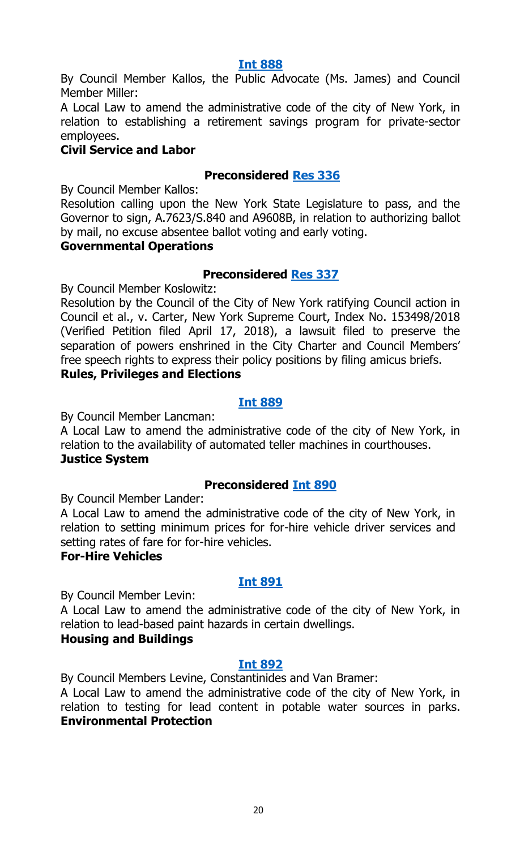#### **Int [888](http://legistar.council.nyc.gov/LegislationDetail.aspx?ID=3498476&GUID=6E78D2BB-A4BA-4FD8-8C03-ABA62C914AEB&Options=&Search=)**

By Council Member Kallos, the Public Advocate (Ms. James) and Council Member Miller:

A Local Law to amend the administrative code of the city of New York, in relation to establishing a retirement savings program for private-sector employees.

#### **Civil Service and Labor**

#### **Preconsidered Res [336](http://legistar.council.nyc.gov/LegislationDetail.aspx?ID=3490046&GUID=C44C8DD1-0200-4BB8-917B-B3E1D50584D9&Options=&Search=)**

By Council Member Kallos:

Resolution calling upon the New York State Legislature to pass, and the Governor to sign, A.7623/S.840 and A9608B, in relation to authorizing ballot by mail, no excuse absentee ballot voting and early voting.

#### **Governmental Operations**

#### **Preconsidered [Res](http://legistar.council.nyc.gov/LegislationDetail.aspx?ID=3497851&GUID=BCEEE1CF-37BF-4FB6-86EE-8962378A43FC&Options=&Search=) 337**

By Council Member Koslowitz:

Resolution by the Council of the City of New York ratifying Council action in Council et al., v. Carter, New York Supreme Court, Index No. 153498/2018 (Verified Petition filed April 17, 2018), a lawsuit filed to preserve the separation of powers enshrined in the City Charter and Council Members' free speech rights to express their policy positions by filing amicus briefs. **Rules, Privileges and Elections**

#### **Int [889](http://legistar.council.nyc.gov/LegislationDetail.aspx?ID=3498474&GUID=37038347-EB1F-406B-AD96-0008C1B72039&Options=&Search=)**

By Council Member Lancman:

A Local Law to amend the administrative code of the city of New York, in relation to the availability of automated teller machines in courthouses. **Justice System**

# **Preconsidered Int [890](http://legistar.council.nyc.gov/LegislationDetail.aspx?ID=3487613&GUID=E47BF280-2CAC-45AE-800F-ED5BE846EFF4&Options=&Search=)**

By Council Member Lander:

A Local Law to amend the administrative code of the city of New York, in relation to setting minimum prices for for-hire vehicle driver services and setting rates of fare for for-hire vehicles.

#### **For-Hire Vehicles**

#### **Int [891](http://legistar.council.nyc.gov/LegislationDetail.aspx?ID=3498519&GUID=0F583E43-17F2-4497-BCD1-AA89F40CB05A&Options=&Search=)**

By Council Member Levin:

A Local Law to amend the administrative code of the city of New York, in relation to lead-based paint hazards in certain dwellings.

#### **Housing and Buildings**

#### **Int [892](http://legistar.council.nyc.gov/LegislationDetail.aspx?ID=3498518&GUID=E171F735-0F90-40CF-B630-836528DFFD21&Options=&Search=)**

By Council Members Levine, Constantinides and Van Bramer:

A Local Law to amend the administrative code of the city of New York, in relation to testing for lead content in potable water sources in parks. **Environmental Protection**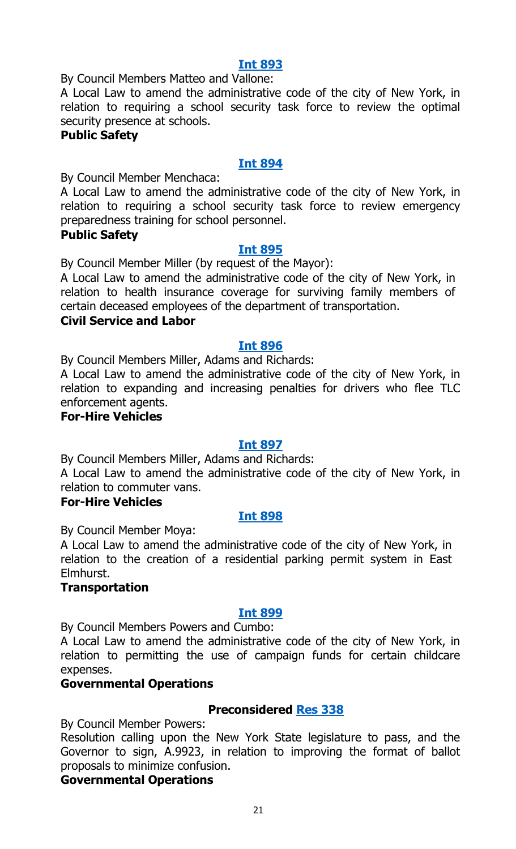#### **Int [893](http://legistar.council.nyc.gov/LegislationDetail.aspx?ID=3498512&GUID=9F8AFB8E-FC93-449F-86D7-AB793C112892&Options=&Search=)**

By Council Members Matteo and Vallone:

A Local Law to amend the administrative code of the city of New York, in relation to requiring a school security task force to review the optimal security presence at schools.

#### **Public Safety**

#### **Int [894](http://legistar.council.nyc.gov/LegislationDetail.aspx?ID=3498513&GUID=39633579-AB1F-4D8C-A1BF-26DF687047FA&Options=&Search=)**

By Council Member Menchaca:

A Local Law to amend the administrative code of the city of New York, in relation to requiring a school security task force to review emergency preparedness training for school personnel.

#### **Public Safety**

#### **Int [895](http://legistar.council.nyc.gov/LegislationDetail.aspx?ID=3498514&GUID=EA7758A8-62F5-4353-BF16-100B463A20DB&Options=&Search=)**

By Council Member Miller (by request of the Mayor):

A Local Law to amend the administrative code of the city of New York, in relation to health insurance coverage for surviving family members of certain deceased employees of the department of transportation.

#### **Civil Service and Labor**

#### **Int [896](http://legistar.council.nyc.gov/LegislationDetail.aspx?ID=3498506&GUID=0E9B8DE0-5212-48EB-BA7E-5C1B451479BB&Options=&Search=)**

By Council Members Miller, Adams and Richards:

A Local Law to amend the administrative code of the city of New York, in relation to expanding and increasing penalties for drivers who flee TLC enforcement agents.

#### **For-Hire Vehicles**

#### **Int [897](http://legistar.council.nyc.gov/LegislationDetail.aspx?ID=3498505&GUID=70DB1544-80FD-4AA6-8593-1C56C7E7607F&Options=&Search=)**

By Council Members Miller, Adams and Richards:

A Local Law to amend the administrative code of the city of New York, in relation to commuter vans.

#### **For-Hire Vehicles**

#### **Int [898](http://legistar.council.nyc.gov/LegislationDetail.aspx?ID=3498507&GUID=60C43250-AC4A-4F92-96D4-51AC89B172A6&Options=&Search=)**

By Council Member Moya:

A Local Law to amend the administrative code of the city of New York, in relation to the creation of a residential parking permit system in East Elmhurst.

#### **Transportation**

#### **Int [899](http://legistar.council.nyc.gov/LegislationDetail.aspx?ID=3498515&GUID=9F3BDE23-EE5D-4A6F-ADB2-E546593F538B&Options=&Search=)**

By Council Members Powers and Cumbo:

A Local Law to amend the administrative code of the city of New York, in relation to permitting the use of campaign funds for certain childcare expenses.

#### **Governmental Operations**

#### **Preconsidered [Res](http://legistar.council.nyc.gov/LegislationDetail.aspx?ID=3490047&GUID=1D84087B-B75E-476D-8FA6-B3BC7EA24866&Options=&Search=) 338**

By Council Member Powers:

Resolution calling upon the New York State legislature to pass, and the Governor to sign, A.9923, in relation to improving the format of ballot proposals to minimize confusion.

#### **Governmental Operations**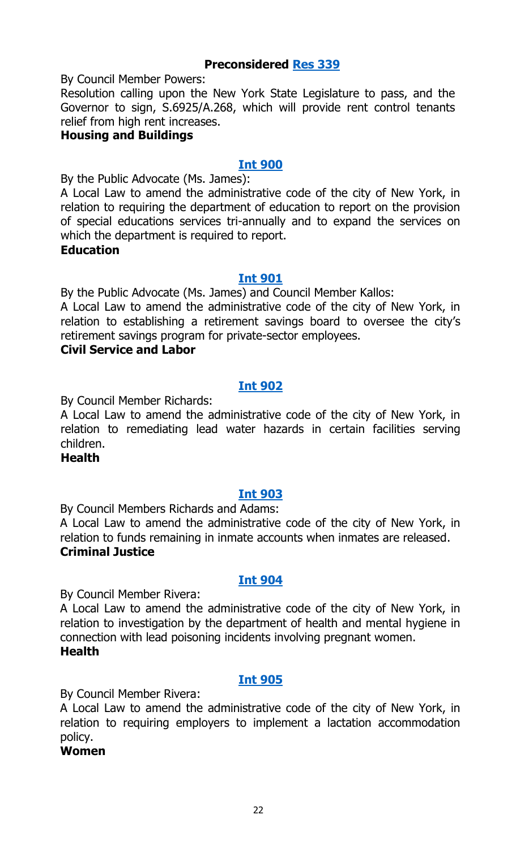By Council Member Powers:

Resolution calling upon the New York State Legislature to pass, and the Governor to sign, S.6925/A.268, which will provide rent control tenants relief from high rent increases.

#### **Housing and Buildings**

#### **Int [900](http://legistar.council.nyc.gov/LegislationDetail.aspx?ID=3498504&GUID=4CC24E03-A9BE-4888-A161-61FA12C23601&Options=&Search=)**

By the Public Advocate (Ms. James):

A Local Law to amend the administrative code of the city of New York, in relation to requiring the department of education to report on the provision of special educations services tri-annually and to expand the services on which the department is required to report.

#### **Education**

#### **Int [901](http://legistar.council.nyc.gov/LegislationDetail.aspx?ID=3498509&GUID=5A6075EC-42D4-47DC-B077-DF126CCFF8AD&Options=&Search=)**

By the Public Advocate (Ms. James) and Council Member Kallos:

A Local Law to amend the administrative code of the city of New York, in relation to establishing a retirement savings board to oversee the city's retirement savings program for private-sector employees.

#### **Civil Service and Labor**

#### **Int [902](http://legistar.council.nyc.gov/LegislationDetail.aspx?ID=3498516&GUID=A6FE2276-E8C6-4789-9F37-499C00633CE9&Options=&Search=)**

By Council Member Richards:

A Local Law to amend the administrative code of the city of New York, in relation to remediating lead water hazards in certain facilities serving children.

#### **Health**

#### **Int [903](http://legistar.council.nyc.gov/LegislationDetail.aspx?ID=3498508&GUID=5EA66260-52ED-497F-A08F-335CC7DC1F20&Options=&Search=)**

By Council Members Richards and Adams:

A Local Law to amend the administrative code of the city of New York, in relation to funds remaining in inmate accounts when inmates are released. **Criminal Justice**

#### **Int [904](http://legistar.council.nyc.gov/LegislationDetail.aspx?ID=3498517&GUID=E93C70A4-5C93-4372-9FF8-61AABE7F4391&Options=&Search=)**

By Council Member Rivera:

A Local Law to amend the administrative code of the city of New York, in relation to investigation by the department of health and mental hygiene in connection with lead poisoning incidents involving pregnant women. **Health**

#### **Int [905](http://legistar.council.nyc.gov/LegislationDetail.aspx?ID=3498511&GUID=DF40CA42-25CB-44D2-AF7F-880164C68CD2&Options=&Search=)**

By Council Member Rivera:

A Local Law to amend the administrative code of the city of New York, in relation to requiring employers to implement a lactation accommodation policy.

#### **Women**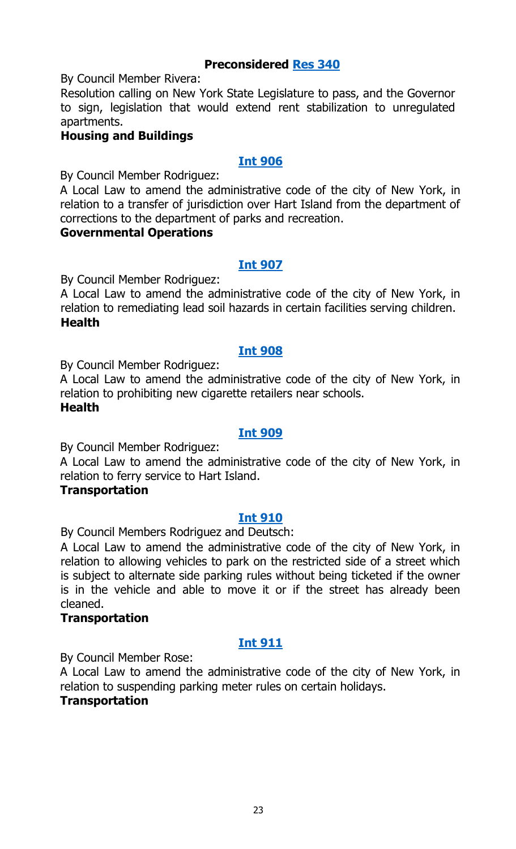By Council Member Rivera:

Resolution calling on New York State Legislature to pass, and the Governor to sign, legislation that would extend rent stabilization to unregulated apartments.

#### **Housing and Buildings**

#### **Int [906](http://legistar.council.nyc.gov/LegislationDetail.aspx?ID=3498510&GUID=DB8FADA8-30C5-4731-8B71-875D9A65C1FA&Options=&Search=)**

By Council Member Rodriguez:

A Local Law to amend the administrative code of the city of New York, in relation to a transfer of jurisdiction over Hart Island from the department of corrections to the department of parks and recreation.

#### **Governmental Operations**

#### **Int [907](http://legistar.council.nyc.gov/LegislationDetail.aspx?ID=3498551&GUID=A213C8DC-96F9-4CFD-A7D5-365879272D3C&Options=&Search=)**

By Council Member Rodriguez:

A Local Law to amend the administrative code of the city of New York, in relation to remediating lead soil hazards in certain facilities serving children. **Health**

#### **Int [908](http://legistar.council.nyc.gov/LegislationDetail.aspx?ID=3498540&GUID=7D368617-CC96-483D-9069-09D2C522645A&Options=&Search=)**

By Council Member Rodriguez:

A Local Law to amend the administrative code of the city of New York, in relation to prohibiting new cigarette retailers near schools. **Health**

#### **Int [909](http://legistar.council.nyc.gov/LegislationDetail.aspx?ID=3498544&GUID=95D2D3C0-16E9-4911-8CC1-15B8E26B8B8C&Options=&Search=)**

By Council Member Rodriguez:

A Local Law to amend the administrative code of the city of New York, in relation to ferry service to Hart Island.

#### **Transportation**

#### **Int [910](http://legistar.council.nyc.gov/LegislationDetail.aspx?ID=3498526&GUID=8373D31D-0B68-4ED0-A131-4D6E2637B86C&Options=&Search=)**

By Council Members Rodriguez and Deutsch:

A Local Law to amend the administrative code of the city of New York, in relation to allowing vehicles to park on the restricted side of a street which is subject to alternate side parking rules without being ticketed if the owner is in the vehicle and able to move it or if the street has already been cleaned.

#### **Transportation**

#### **Int [911](http://legistar.council.nyc.gov/LegislationDetail.aspx?ID=3498539&GUID=2141F695-9690-4F85-8165-0FDCCD1817C5&Options=&Search=)**

By Council Member Rose:

A Local Law to amend the administrative code of the city of New York, in relation to suspending parking meter rules on certain holidays.

#### **Transportation**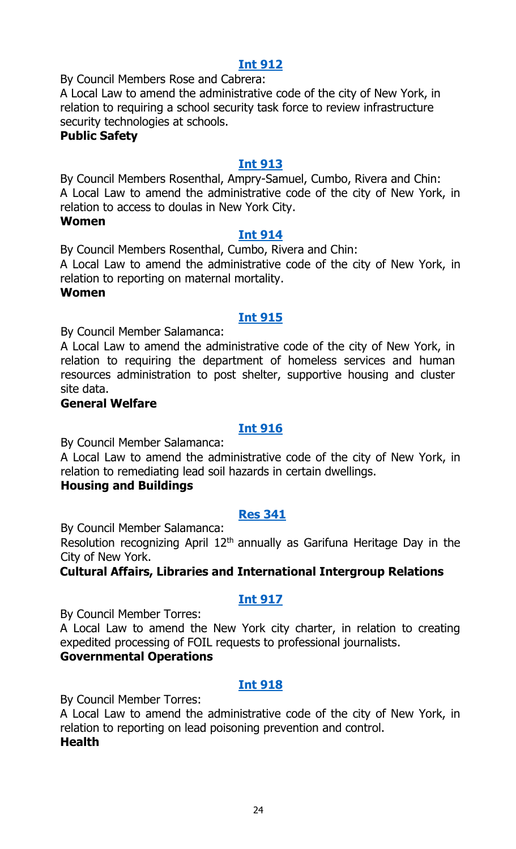#### **Int [912](http://legistar.council.nyc.gov/LegislationDetail.aspx?ID=3498550&GUID=2592DDEF-C92E-4008-9C40-40B515174F3C&Options=&Search=)**

By Council Members Rose and Cabrera:

A Local Law to amend the administrative code of the city of New York, in relation to requiring a school security task force to review infrastructure security technologies at schools.

#### **Public Safety**

#### **Int [913](http://legistar.council.nyc.gov/LegislationDetail.aspx?ID=3498545&GUID=2E53C403-B3C7-4C34-9FF2-85385B01E790&Options=&Search=)**

By Council Members Rosenthal, Ampry-Samuel, Cumbo, Rivera and Chin: A Local Law to amend the administrative code of the city of New York, in relation to access to doulas in New York City.

#### **Women**

#### **Int [914](http://legistar.council.nyc.gov/LegislationDetail.aspx?ID=3498546&GUID=87504419-6255-4349-B173-F4A9FA5009FE&Options=&Search=)**

By Council Members Rosenthal, Cumbo, Rivera and Chin:

A Local Law to amend the administrative code of the city of New York, in relation to reporting on maternal mortality.

#### **Women**

#### **Int [915](http://legistar.council.nyc.gov/LegislationDetail.aspx?ID=3498537&GUID=10E6C032-AC60-4B77-B28A-A267A60A6DF3&Options=&Search=)**

By Council Member Salamanca:

A Local Law to amend the administrative code of the city of New York, in relation to requiring the department of homeless services and human resources administration to post shelter, supportive housing and cluster site data.

#### **General Welfare**

#### **Int [916](http://legistar.council.nyc.gov/LegislationDetail.aspx?ID=3498573&GUID=29F7A7EA-85AA-41A5-B313-7202A72961BC&Options=&Search=)**

By Council Member Salamanca:

A Local Law to amend the administrative code of the city of New York, in relation to remediating lead soil hazards in certain dwellings.

#### **Housing and Buildings**

#### **Res [341](http://legistar.council.nyc.gov/LegislationDetail.aspx?ID=3498538&GUID=0A454ABE-0BF9-491A-A63F-FE7AF7B7E9F8&Options=&Search=)**

By Council Member Salamanca:

Resolution recognizing April 12<sup>th</sup> annually as Garifuna Heritage Day in the City of New York.

#### **Cultural Affairs, Libraries and International Intergroup Relations**

#### **Int [917](http://legistar.council.nyc.gov/LegislationDetail.aspx?ID=3498527&GUID=94640425-F695-47D5-A606-FF7850551C61&Options=&Search=)**

By Council Member Torres:

A Local Law to amend the New York city charter, in relation to creating expedited processing of FOIL requests to professional journalists. **Governmental Operations**

#### **Int [918](http://legistar.council.nyc.gov/LegislationDetail.aspx?ID=3498572&GUID=AB24032F-962B-492E-AEEA-F1A9118CAEE7&Options=&Search=)**

By Council Member Torres:

A Local Law to amend the administrative code of the city of New York, in relation to reporting on lead poisoning prevention and control. **Health**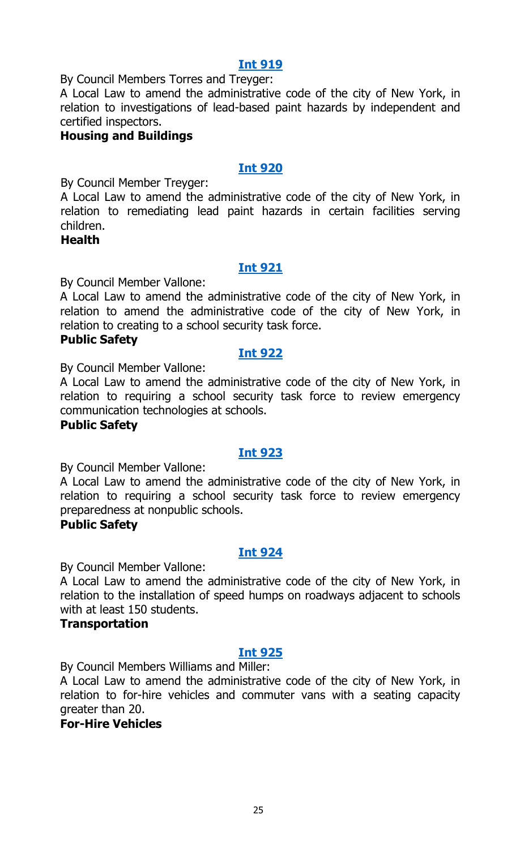#### **Int [919](http://legistar.council.nyc.gov/LegislationDetail.aspx?ID=3498574&GUID=DBADA75B-085C-4848-843F-B9B054D5E2A7&Options=&Search=)**

By Council Members Torres and Treyger:

A Local Law to amend the administrative code of the city of New York, in relation to investigations of lead-based paint hazards by independent and certified inspectors.

#### **Housing and Buildings**

#### **Int [920](http://legistar.council.nyc.gov/LegislationDetail.aspx?ID=3498552&GUID=4B027FB2-02C8-4571-9F3B-5DA56A4A1AF8&Options=&Search=)**

By Council Member Treyger:

A Local Law to amend the administrative code of the city of New York, in relation to remediating lead paint hazards in certain facilities serving children.

#### **Health**

#### **Int [921](http://legistar.council.nyc.gov/LegislationDetail.aspx?ID=3498547&GUID=946043A6-A532-447D-801D-DBBE5E8D495B&Options=&Search=)**

By Council Member Vallone:

A Local Law to amend the administrative code of the city of New York, in relation to amend the administrative code of the city of New York, in relation to creating to a school security task force.

#### **Public Safety**

#### **Int [922](http://legistar.council.nyc.gov/LegislationDetail.aspx?ID=3498548&GUID=82956BE5-00AB-4A1A-8CBA-B1CD5F194BD3&Options=&Search=)**

By Council Member Vallone:

A Local Law to amend the administrative code of the city of New York, in relation to requiring a school security task force to review emergency communication technologies at schools.

#### **Public Safety**

#### **Int [923](http://legistar.council.nyc.gov/LegislationDetail.aspx?ID=3498549&GUID=EBB6550B-CB89-4D1A-9F12-A848EAE74A3F&Options=&Search=)**

By Council Member Vallone:

A Local Law to amend the administrative code of the city of New York, in relation to requiring a school security task force to review emergency preparedness at nonpublic schools.

#### **Public Safety**

#### **Int [924](http://legistar.council.nyc.gov/LegislationDetail.aspx?ID=3498543&GUID=F22E9D09-8379-464A-9ECF-CC434119654E&Options=&Search=)**

By Council Member Vallone:

A Local Law to amend the administrative code of the city of New York, in relation to the installation of speed humps on roadways adjacent to schools with at least 150 students.

#### **Transportation**

#### **Int [925](http://legistar.council.nyc.gov/LegislationDetail.aspx?ID=3498528&GUID=D90F1FD1-064E-40AD-BBCC-976DEBF0E0AF&Options=&Search=)**

By Council Members Williams and Miller:

A Local Law to amend the administrative code of the city of New York, in relation to for-hire vehicles and commuter vans with a seating capacity greater than 20.

#### **For-Hire Vehicles**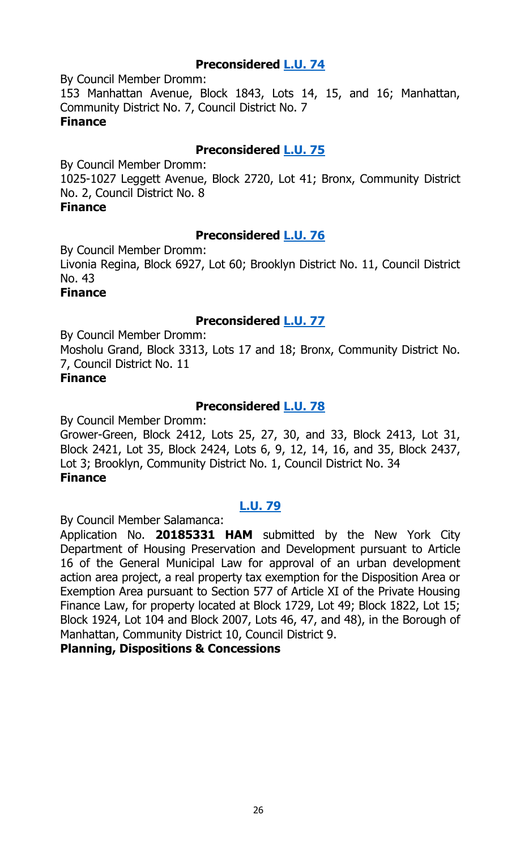#### **Preconsidered [L.U.](http://legistar.council.nyc.gov/LegislationDetail.aspx?ID=3487227&GUID=B56D5800-06FA-4C53-A84B-F8B872D8CC36&Options=ID%7cText%7c&Search=) 74**

By Council Member Dromm: 153 Manhattan Avenue, Block 1843, Lots 14, 15, and 16; Manhattan, Community District No. 7, Council District No. 7 **Finance**

#### **Preconsidered [L.U.](http://legistar.council.nyc.gov/LegislationDetail.aspx?ID=3487228&GUID=CC1B564B-EA1E-4625-AD3C-A3BA820D0A83&Options=ID|Text|&Search=) 75**

By Council Member Dromm:

1025-1027 Leggett Avenue, Block 2720, Lot 41; Bronx, Community District No. 2, Council District No. 8

#### **Finance**

#### **Preconsidered [L.U.](http://legistar.council.nyc.gov/LegislationDetail.aspx?ID=3487236&GUID=8503B32F-1F35-4302-8A47-8888140956AA&Options=ID|Text|&Search=) 76**

By Council Member Dromm:

Livonia Regina, Block 6927, Lot 60; Brooklyn District No. 11, Council District No. 43

#### **Finance**

#### **Preconsidered [L.U.](http://legistar.council.nyc.gov/LegislationDetail.aspx?ID=3487237&GUID=AE767632-7807-4CD4-8D29-0786EFFCFDCE&Options=ID|Text|&Search=) 77**

By Council Member Dromm:

Mosholu Grand, Block 3313, Lots 17 and 18; Bronx, Community District No. 7, Council District No. 11

#### **Finance**

#### **Preconsidered [L.U.](http://legistar.council.nyc.gov/LegislationDetail.aspx?ID=3487241&GUID=BA06B577-03DB-4665-A252-6734D543258D&Options=ID|Text|&Search=) 78**

By Council Member Dromm:

Grower-Green, Block 2412, Lots 25, 27, 30, and 33, Block 2413, Lot 31, Block 2421, Lot 35, Block 2424, Lots 6, 9, 12, 14, 16, and 35, Block 2437, Lot 3; Brooklyn, Community District No. 1, Council District No. 34 **Finance**

#### **[L.U.](http://legistar.council.nyc.gov/LegislationDetail.aspx?ID=3498569&GUID=86714AEC-4C5F-4FB8-85BE-1D64EF6103D4&Options=ID|Text|&Search=) 79**

By Council Member Salamanca:

Application No. **20185331 HAM** submitted by the New York City Department of Housing Preservation and Development pursuant to Article 16 of the General Municipal Law for approval of an urban development action area project, a real property tax exemption for the Disposition Area or Exemption Area pursuant to Section 577 of Article XI of the Private Housing Finance Law, for property located at Block 1729, Lot 49; Block 1822, Lot 15; Block 1924, Lot 104 and Block 2007, Lots 46, 47, and 48), in the Borough of Manhattan, Community District 10, Council District 9.

#### **Planning, Dispositions & Concessions**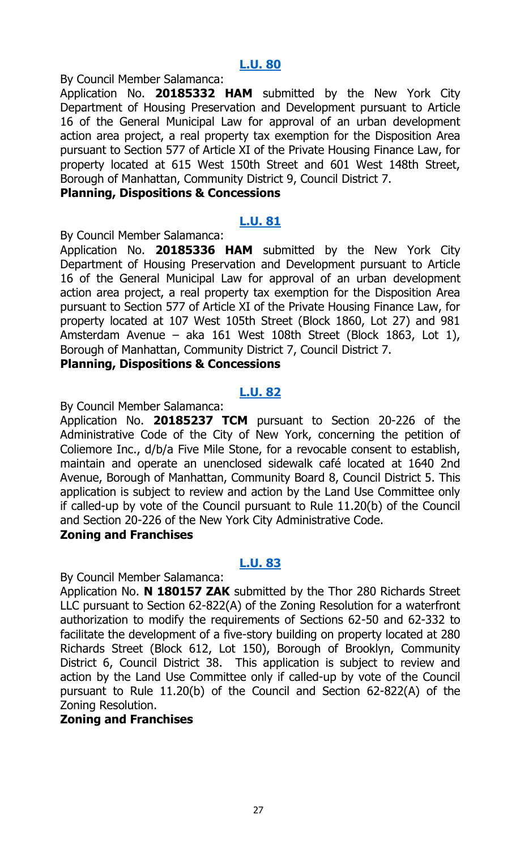By Council Member Salamanca:

Application No. **20185332 HAM** submitted by the New York City Department of Housing Preservation and Development pursuant to Article 16 of the General Municipal Law for approval of an urban development action area project, a real property tax exemption for the Disposition Area pursuant to Section 577 of Article XI of the Private Housing Finance Law, for property located at 615 West 150th Street and 601 West 148th Street, Borough of Manhattan, Community District 9, Council District 7.

#### **Planning, Dispositions & Concessions**

#### **[L.U.](http://legistar.council.nyc.gov/LegislationDetail.aspx?ID=3498571&GUID=3A308381-35B3-4298-982B-E689703C34CE&Options=ID|Text|&Search=) 81**

By Council Member Salamanca:

Application No. **20185336 HAM** submitted by the New York City Department of Housing Preservation and Development pursuant to Article 16 of the General Municipal Law for approval of an urban development action area project, a real property tax exemption for the Disposition Area pursuant to Section 577 of Article XI of the Private Housing Finance Law, for property located at 107 West 105th Street (Block 1860, Lot 27) and 981 Amsterdam Avenue – aka 161 West 108th Street (Block 1863, Lot 1), Borough of Manhattan, Community District 7, Council District 7.

#### **Planning, Dispositions & Concessions**

#### **[L.U.](http://legistar.council.nyc.gov/LegislationDetail.aspx?ID=3498556&GUID=F926C915-9061-42DA-9B38-2E163039A7D3&Options=ID|Text|&Search=) 82**

By Council Member Salamanca:

Application No. **20185237 TCM** pursuant to Section 20-226 of the Administrative Code of the City of New York, concerning the petition of Coliemore Inc., d/b/a Five Mile Stone, for a revocable consent to establish, maintain and operate an unenclosed sidewalk café located at 1640 2nd Avenue, Borough of Manhattan, Community Board 8, Council District 5. This application is subject to review and action by the Land Use Committee only if called-up by vote of the Council pursuant to Rule 11.20(b) of the Council and Section 20-226 of the New York City Administrative Code.

#### **Zoning and Franchises**

#### **[L.U.](http://legistar.council.nyc.gov/LegislationDetail.aspx?ID=3498557&GUID=2EBAE20F-3A7A-4214-B40B-FC5C961B827B&Options=ID|Text|&Search=) 83**

By Council Member Salamanca:

Application No. **N 180157 ZAK** submitted by the Thor 280 Richards Street LLC pursuant to Section 62-822(A) of the Zoning Resolution for a waterfront authorization to modify the requirements of Sections 62-50 and 62-332 to facilitate the development of a five-story building on property located at 280 Richards Street (Block 612, Lot 150), Borough of Brooklyn, Community District 6, Council District 38. This application is subject to review and action by the Land Use Committee only if called-up by vote of the Council pursuant to Rule 11.20(b) of the Council and Section 62-822(A) of the Zoning Resolution.

#### **Zoning and Franchises**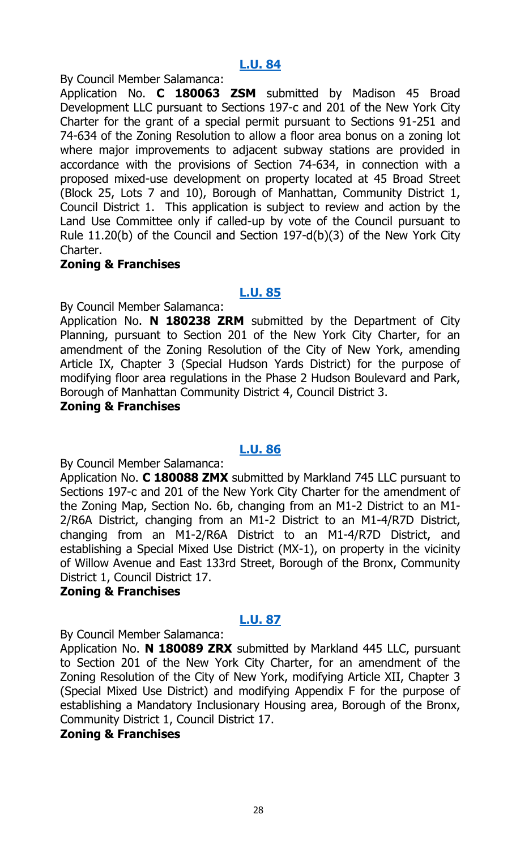By Council Member Salamanca:

Application No. **C 180063 ZSM** submitted by Madison 45 Broad Development LLC pursuant to Sections 197-c and 201 of the New York City Charter for the grant of a special permit pursuant to Sections 91-251 and 74-634 of the Zoning Resolution to allow a floor area bonus on a zoning lot where major improvements to adjacent subway stations are provided in accordance with the provisions of Section 74-634, in connection with a proposed mixed-use development on property located at 45 Broad Street (Block 25, Lots 7 and 10), Borough of Manhattan, Community District 1, Council District 1. This application is subject to review and action by the Land Use Committee only if called-up by vote of the Council pursuant to Rule 11.20(b) of the Council and Section 197-d(b)(3) of the New York City Charter.

#### **Zoning & Franchises**

#### **[L.U.](http://legistar.council.nyc.gov/LegislationDetail.aspx?ID=3498559&GUID=B1ABACB5-4E28-4525-94AC-A8E813AE302F&Options=ID|Text|&Search=) 85**

By Council Member Salamanca:

Application No. **N 180238 ZRM** submitted by the Department of City Planning, pursuant to Section 201 of the New York City Charter, for an amendment of the Zoning Resolution of the City of New York, amending Article IX, Chapter 3 (Special Hudson Yards District) for the purpose of modifying floor area regulations in the Phase 2 Hudson Boulevard and Park, Borough of Manhattan Community District 4, Council District 3.

#### **Zoning & Franchises**

#### **[L.U.](http://legistar.council.nyc.gov/LegislationDetail.aspx?ID=3498560&GUID=45ED9E17-6779-4EBA-84AF-13808941C549&Options=ID|Text|&Search=) 86**

By Council Member Salamanca:

Application No. **C 180088 ZMX** submitted by Markland 745 LLC pursuant to Sections 197-c and 201 of the New York City Charter for the amendment of the Zoning Map, Section No. 6b, changing from an M1-2 District to an M1- 2/R6A District, changing from an M1-2 District to an M1-4/R7D District, changing from an M1-2/R6A District to an M1-4/R7D District, and establishing a Special Mixed Use District (MX-1), on property in the vicinity of Willow Avenue and East 133rd Street, Borough of the Bronx, Community District 1, Council District 17.

#### **Zoning & Franchises**

#### **[L.U.](http://legistar.council.nyc.gov/LegislationDetail.aspx?ID=3498561&GUID=C67BE3AF-611B-4ECC-B7F2-6C14E60FD425&Options=ID|Text|&Search=) 87**

By Council Member Salamanca:

Application No. **N 180089 ZRX** submitted by Markland 445 LLC, pursuant to Section 201 of the New York City Charter, for an amendment of the Zoning Resolution of the City of New York, modifying Article XII, Chapter 3 (Special Mixed Use District) and modifying Appendix F for the purpose of establishing a Mandatory Inclusionary Housing area, Borough of the Bronx, Community District 1, Council District 17.

#### **Zoning & Franchises**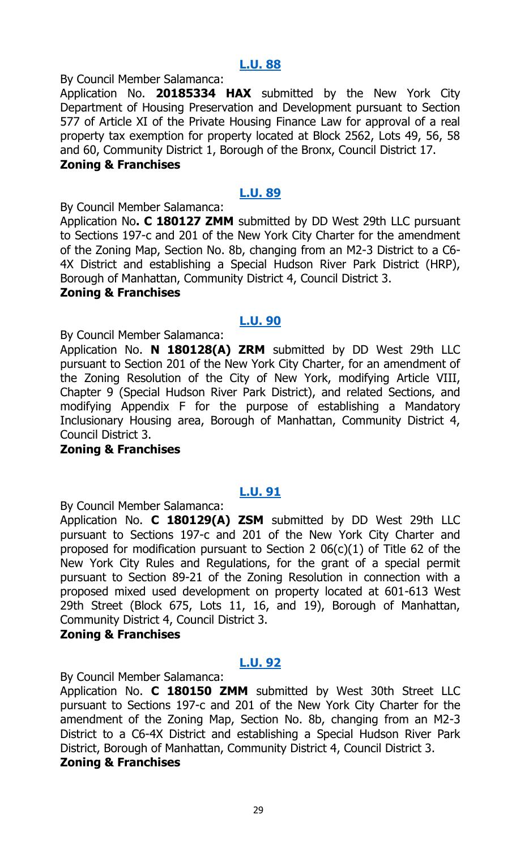By Council Member Salamanca:

Application No. **20185334 HAX** submitted by the New York City Department of Housing Preservation and Development pursuant to Section 577 of Article XI of the Private Housing Finance Law for approval of a real property tax exemption for property located at Block 2562, Lots 49, 56, 58 and 60, Community District 1, Borough of the Bronx, Council District 17. **Zoning & Franchises**

#### **[L.U.](http://legistar.council.nyc.gov/LegislationDetail.aspx?ID=3498563&GUID=FC63D868-0E16-40ED-B04C-B152D8F0D3FB&Options=ID|Text|&Search=) 89**

By Council Member Salamanca:

Application No**. C 180127 ZMM** submitted by DD West 29th LLC pursuant to Sections 197-c and 201 of the New York City Charter for the amendment of the Zoning Map, Section No. 8b, changing from an M2-3 District to a C6- 4X District and establishing a Special Hudson River Park District (HRP), Borough of Manhattan, Community District 4, Council District 3.

#### **Zoning & Franchises**

#### **[L.U.](http://legistar.council.nyc.gov/LegislationDetail.aspx?ID=3498564&GUID=8DF316B4-8D45-4ED5-8079-66D53AE7727B&Options=ID|Text|&Search=) 90**

By Council Member Salamanca:

Application No. **N 180128(A) ZRM** submitted by DD West 29th LLC pursuant to Section 201 of the New York City Charter, for an amendment of the Zoning Resolution of the City of New York, modifying Article VIII, Chapter 9 (Special Hudson River Park District), and related Sections, and modifying Appendix F for the purpose of establishing a Mandatory Inclusionary Housing area, Borough of Manhattan, Community District 4, Council District 3.

#### **Zoning & Franchises**

#### **[L.U.](http://legistar.council.nyc.gov/LegislationDetail.aspx?ID=3498565&GUID=3D2D52FF-D318-4036-A941-203E81FFAA93&Options=ID|Text|&Search=) 91**

By Council Member Salamanca:

Application No. **C 180129(A) ZSM** submitted by DD West 29th LLC pursuant to Sections 197-c and 201 of the New York City Charter and proposed for modification pursuant to Section 2 06(c)(1) of Title 62 of the New York City Rules and Regulations, for the grant of a special permit pursuant to Section 89-21 of the Zoning Resolution in connection with a proposed mixed used development on property located at 601-613 West 29th Street (Block 675, Lots 11, 16, and 19), Borough of Manhattan, Community District 4, Council District 3.

#### **Zoning & Franchises**

#### **[L.U.](http://legistar.council.nyc.gov/LegislationDetail.aspx?ID=3498566&GUID=2D3259FF-41C6-40A6-AADC-7A4117F881FC&Options=ID|Text|&Search=) 92**

By Council Member Salamanca:

Application No. **C 180150 ZMM** submitted by West 30th Street LLC pursuant to Sections 197-c and 201 of the New York City Charter for the amendment of the Zoning Map, Section No. 8b, changing from an M2-3 District to a C6-4X District and establishing a Special Hudson River Park District, Borough of Manhattan, Community District 4, Council District 3. **Zoning & Franchises**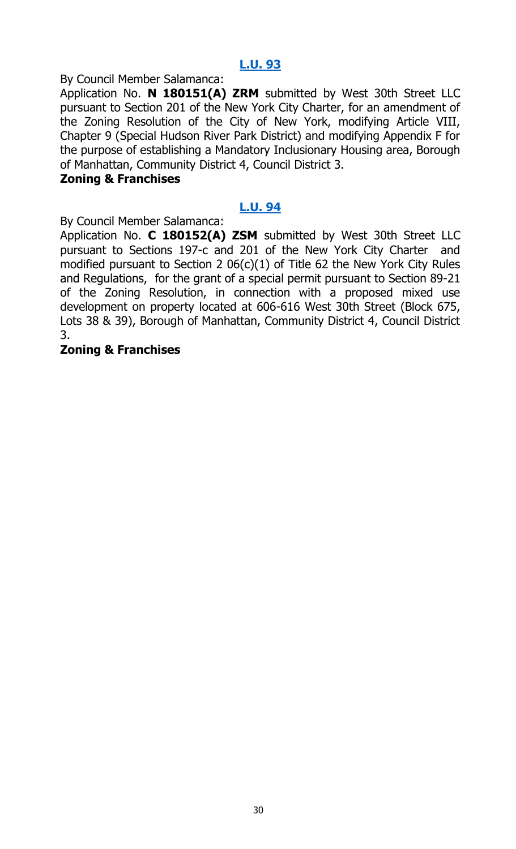By Council Member Salamanca:

Application No. **N 180151(A) ZRM** submitted by West 30th Street LLC pursuant to Section 201 of the New York City Charter, for an amendment of the Zoning Resolution of the City of New York, modifying Article VIII, Chapter 9 (Special Hudson River Park District) and modifying Appendix F for the purpose of establishing a Mandatory Inclusionary Housing area, Borough of Manhattan, Community District 4, Council District 3.

#### **Zoning & Franchises**

#### **[L.U.](http://legistar.council.nyc.gov/LegislationDetail.aspx?ID=3498568&GUID=DF116C30-1A62-4A11-A862-3E2365CF3FC3&Options=ID|Text|&Search=) 94**

By Council Member Salamanca:

Application No. **C 180152(A) ZSM** submitted by West 30th Street LLC pursuant to Sections 197-c and 201 of the New York City Charter and modified pursuant to Section 2 06(c)(1) of Title 62 the New York City Rules and Regulations, for the grant of a special permit pursuant to Section 89-21 of the Zoning Resolution, in connection with a proposed mixed use development on property located at 606-616 West 30th Street (Block 675, Lots 38 & 39), Borough of Manhattan, Community District 4, Council District 3.

#### **Zoning & Franchises**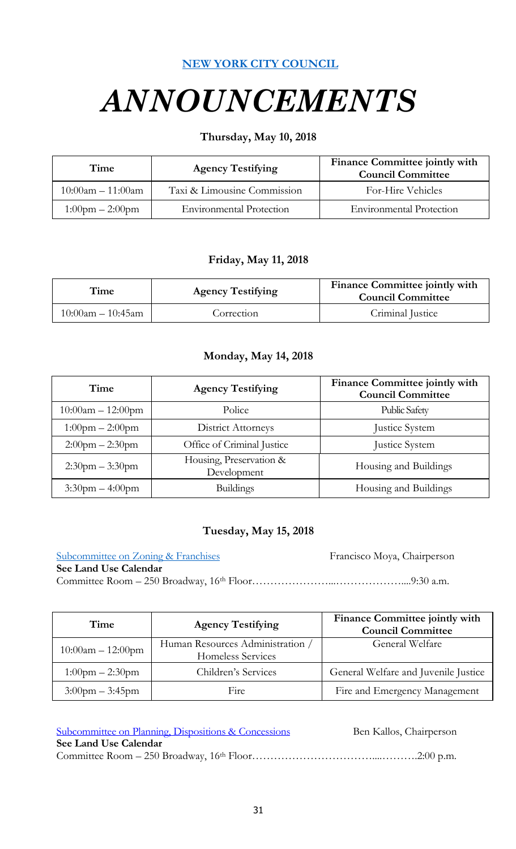#### **[NEW YORK CITY COUNCIL](http://legistar.council.nyc.gov/Calendar.aspx)**

# *ANNOUNCEMENTS*

#### **Thursday, May 10, 2018**

| Time                              | <b>Agency Testifying</b>        | Finance Committee jointly with<br><b>Council Committee</b> |
|-----------------------------------|---------------------------------|------------------------------------------------------------|
| $10:00am - 11:00am$               | Taxi & Limousine Commission     | For-Hire Vehicles                                          |
| $1:00 \text{pm} - 2:00 \text{pm}$ | <b>Environmental Protection</b> | <b>Environmental Protection</b>                            |

#### **Friday, May 11, 2018**

| Time                 | <b>Agency Testifying</b> | Finance Committee jointly with<br><b>Council Committee</b> |
|----------------------|--------------------------|------------------------------------------------------------|
| $10:00$ am – 10:45am | Correction               | Criminal Justice                                           |

#### **Monday, May 14, 2018**

| Time                  | <b>Agency Testifying</b>               | Finance Committee jointly with<br><b>Council Committee</b> |
|-----------------------|----------------------------------------|------------------------------------------------------------|
| $10:00am - 12:00pm$   | Police                                 | <b>Public Safety</b>                                       |
| $1:00$ pm $- 2:00$ pm | District Attorneys                     | Justice System                                             |
| $2:00$ pm $- 2:30$ pm | Office of Criminal Justice             | Justice System                                             |
| $2:30$ pm $-3:30$ pm  | Housing, Preservation &<br>Development | Housing and Buildings                                      |
| $3:30$ pm $-4:00$ pm  | <b>Buildings</b>                       | Housing and Buildings                                      |

#### **Tuesday, May 15, 2018**

| Subcommittee on Zoning & Franchises | Francisco Moya, Chairperson |
|-------------------------------------|-----------------------------|
| See Land Use Calendar               |                             |
|                                     |                             |

| Time                              | <b>Agency Testifying</b>                              | Finance Committee jointly with<br><b>Council Committee</b> |
|-----------------------------------|-------------------------------------------------------|------------------------------------------------------------|
| $10:00$ am $- 12:00$ pm           | Human Resources Administration /<br>Homeless Services | General Welfare                                            |
| $1:00$ pm $- 2:30$ pm             | Children's Services                                   | General Welfare and Juvenile Justice                       |
| $3:00 \text{pm} - 3:45 \text{pm}$ | Fire                                                  | Fire and Emergency Management                              |

| <b>Subcommittee on Planning, Dispositions &amp; Concessions</b> | Ben Kallos, Chairperson |
|-----------------------------------------------------------------|-------------------------|
| See Land Use Calendar                                           |                         |
|                                                                 |                         |